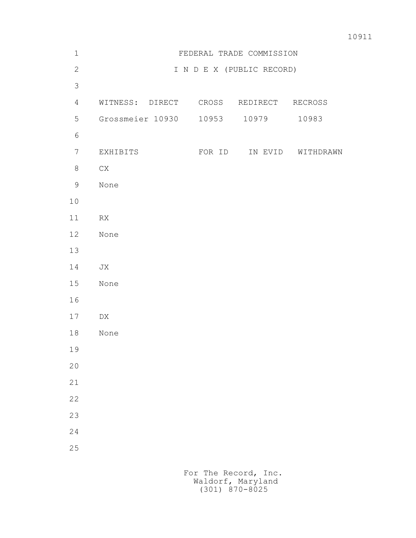| $\mathbf 1$    | FEDERAL TRADE COMMISSION |        |                           |                   |
|----------------|--------------------------|--------|---------------------------|-------------------|
| $\mathbf{2}$   |                          |        | I N D E X (PUBLIC RECORD) |                   |
| $\mathcal{S}$  |                          |        |                           |                   |
| $\overline{4}$ | WITNESS: DIRECT          | CROSS  | REDIRECT                  | RECROSS           |
| 5              | Grossmeier 10930         | 10953  | 10979                     | 10983             |
| $\sqrt{6}$     |                          |        |                           |                   |
| $\overline{7}$ | EXHIBITS                 | FOR ID |                           | IN EVID WITHDRAWN |
| $8\,$          | ${\rm CX}$               |        |                           |                   |
| $\mathsf 9$    | None                     |        |                           |                   |
| 10             |                          |        |                           |                   |
| 11             | ${\sf RX}$               |        |                           |                   |
| 12             | None                     |        |                           |                   |
| 13             |                          |        |                           |                   |
| 14             | JX                       |        |                           |                   |
| 15             | None                     |        |                           |                   |
| 16             |                          |        |                           |                   |
| 17             | ${\rm D}{\rm X}$         |        |                           |                   |
| 18             | None                     |        |                           |                   |
| 19             |                          |        |                           |                   |
| $20$           |                          |        |                           |                   |
| 21             |                          |        |                           |                   |
| 22             |                          |        |                           |                   |
| 23             |                          |        |                           |                   |
| 24             |                          |        |                           |                   |
| 25             |                          |        |                           |                   |
|                |                          |        |                           |                   |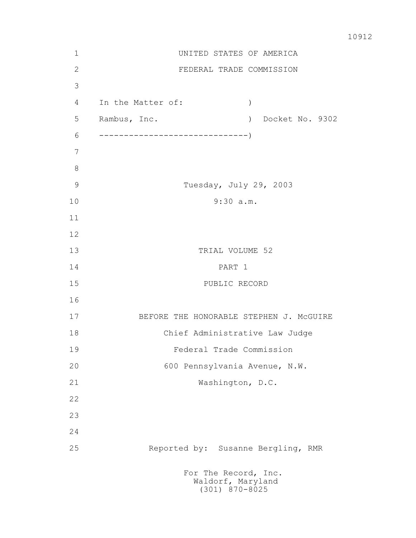| $\mathbf 1$   | UNITED STATES OF AMERICA                                      |  |  |  |  |
|---------------|---------------------------------------------------------------|--|--|--|--|
| $\mathbf{2}$  | FEDERAL TRADE COMMISSION                                      |  |  |  |  |
| 3             |                                                               |  |  |  |  |
| 4             | In the Matter of:<br>$\mathcal{C}$                            |  |  |  |  |
| 5             | Docket No. 9302<br>Rambus, Inc.<br>$\rightarrow$              |  |  |  |  |
| 6             |                                                               |  |  |  |  |
| 7             |                                                               |  |  |  |  |
| $8\,$         |                                                               |  |  |  |  |
| $\mathcal{G}$ | Tuesday, July 29, 2003                                        |  |  |  |  |
| 10            | 9:30 a.m.                                                     |  |  |  |  |
| 11            |                                                               |  |  |  |  |
| 12            |                                                               |  |  |  |  |
| 13            | TRIAL VOLUME 52                                               |  |  |  |  |
| 14            | PART 1                                                        |  |  |  |  |
| 15            | PUBLIC RECORD                                                 |  |  |  |  |
| 16            |                                                               |  |  |  |  |
| 17            | BEFORE THE HONORABLE STEPHEN J. MCGUIRE                       |  |  |  |  |
| 18            | Chief Administrative Law Judge                                |  |  |  |  |
| 19            | Federal Trade Commission                                      |  |  |  |  |
| 20            | 600 Pennsylvania Avenue, N.W.                                 |  |  |  |  |
| 21            | Washington, D.C.                                              |  |  |  |  |
| 22            |                                                               |  |  |  |  |
| 23            |                                                               |  |  |  |  |
| 24            |                                                               |  |  |  |  |
| 25            | Reported by: Susanne Bergling, RMR                            |  |  |  |  |
|               | For The Record, Inc.<br>Waldorf, Maryland<br>$(301)$ 870-8025 |  |  |  |  |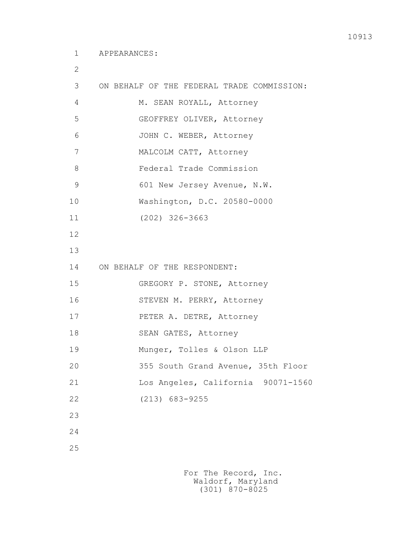2

```
 3 ON BEHALF OF THE FEDERAL TRADE COMMISSION: 
4 M. SEAN ROYALL, Attorney
 5 GEOFFREY OLIVER, Attorney
 6 JOHN C. WEBER, Attorney
 7 MALCOLM CATT, Attorney
 8 Federal Trade Commission
9 601 New Jersey Avenue, N.W.
 10 Washington, D.C. 20580-0000
 11 (202) 326-3663
 12
 13
 14 ON BEHALF OF THE RESPONDENT:
 15 GREGORY P. STONE, Attorney
 16 STEVEN M. PERRY, Attorney
 17 PETER A. DETRE, Attorney
18 SEAN GATES, Attorney
 19 Munger, Tolles & Olson LLP
 20 355 South Grand Avenue, 35th Floor
 21 Los Angeles, California 90071-1560
 22 (213) 683-9255
 23
 24
 25
```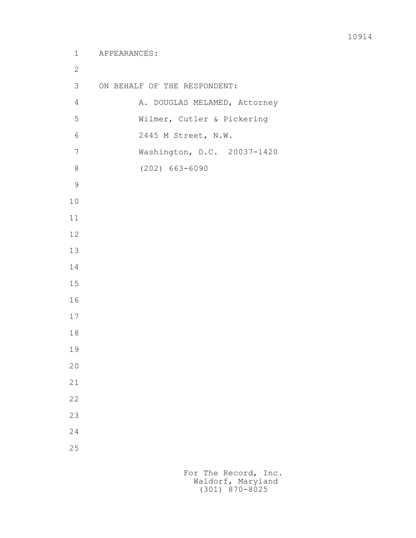```
 1 APPEARANCES:
 2
         3 ON BEHALF OF THE RESPONDENT:
        4 A. DOUGLAS MELAMED, Attorney
         5 Wilmer, Cutler & Pickering
         6 2445 M Street, N.W.
         7 Washington, D.C. 20037-1420
         8 (202) 663-6090
 9
        10
        11
        12
        13
        14
        15
        16
        17
        18
        19
        20
        21
        22
        23
        24
        25
```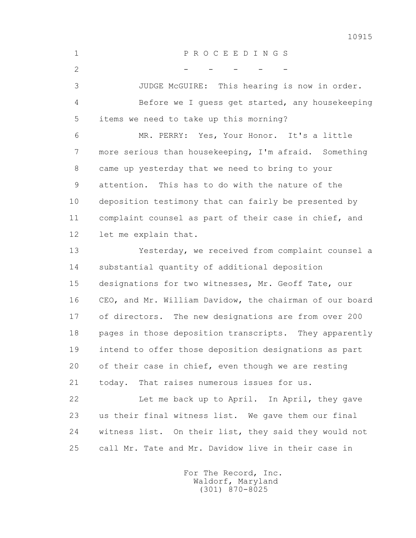1 P R O C E E D I N G S  $2$  - - - - - 3 JUDGE McGUIRE: This hearing is now in order. 4 Before we I guess get started, any housekeeping 5 items we need to take up this morning? 6 MR. PERRY: Yes, Your Honor. It's a little 7 more serious than housekeeping, I'm afraid. Something 8 came up yesterday that we need to bring to your 9 attention. This has to do with the nature of the 10 deposition testimony that can fairly be presented by 11 complaint counsel as part of their case in chief, and 12 let me explain that. 13 Yesterday, we received from complaint counsel a 14 substantial quantity of additional deposition 15 designations for two witnesses, Mr. Geoff Tate, our 16 CEO, and Mr. William Davidow, the chairman of our board 17 of directors. The new designations are from over 200 18 pages in those deposition transcripts. They apparently 19 intend to offer those deposition designations as part 20 of their case in chief, even though we are resting 21 today. That raises numerous issues for us. 22 Let me back up to April. In April, they gave 23 us their final witness list. We gave them our final 24 witness list. On their list, they said they would not 25 call Mr. Tate and Mr. Davidow live in their case in

> For The Record, Inc. Waldorf, Maryland (301) 870-8025

10915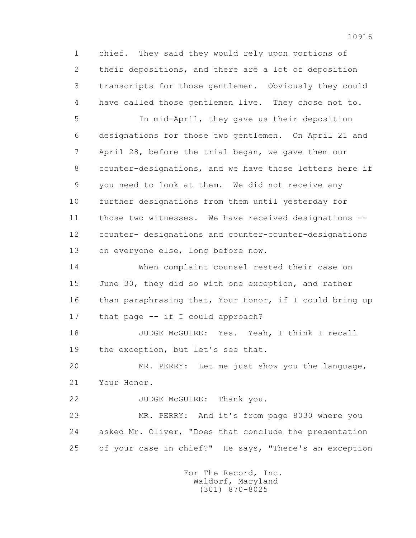1 chief. They said they would rely upon portions of 2 their depositions, and there are a lot of deposition 3 transcripts for those gentlemen. Obviously they could 4 have called those gentlemen live. They chose not to.

 5 In mid-April, they gave us their deposition 6 designations for those two gentlemen. On April 21 and 7 April 28, before the trial began, we gave them our 8 counter-designations, and we have those letters here if 9 you need to look at them. We did not receive any 10 further designations from them until yesterday for 11 those two witnesses. We have received designations -- 12 counter- designations and counter-counter-designations 13 on everyone else, long before now.

 14 When complaint counsel rested their case on 15 June 30, they did so with one exception, and rather 16 than paraphrasing that, Your Honor, if I could bring up 17 that page -- if I could approach?

 18 JUDGE McGUIRE: Yes. Yeah, I think I recall 19 the exception, but let's see that.

 20 MR. PERRY: Let me just show you the language, 21 Your Honor.

22 JUDGE McGUIRE: Thank you.

 23 MR. PERRY: And it's from page 8030 where you 24 asked Mr. Oliver, "Does that conclude the presentation 25 of your case in chief?" He says, "There's an exception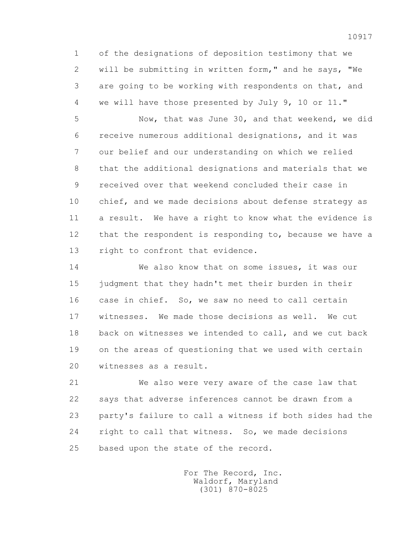1 of the designations of deposition testimony that we 2 will be submitting in written form," and he says, "We 3 are going to be working with respondents on that, and 4 we will have those presented by July 9, 10 or 11."

 5 Now, that was June 30, and that weekend, we did 6 receive numerous additional designations, and it was 7 our belief and our understanding on which we relied 8 that the additional designations and materials that we 9 received over that weekend concluded their case in 10 chief, and we made decisions about defense strategy as 11 a result. We have a right to know what the evidence is 12 that the respondent is responding to, because we have a 13 right to confront that evidence.

 14 We also know that on some issues, it was our 15 judgment that they hadn't met their burden in their 16 case in chief. So, we saw no need to call certain 17 witnesses. We made those decisions as well. We cut 18 back on witnesses we intended to call, and we cut back 19 on the areas of questioning that we used with certain 20 witnesses as a result.

 21 We also were very aware of the case law that 22 says that adverse inferences cannot be drawn from a 23 party's failure to call a witness if both sides had the 24 right to call that witness. So, we made decisions 25 based upon the state of the record.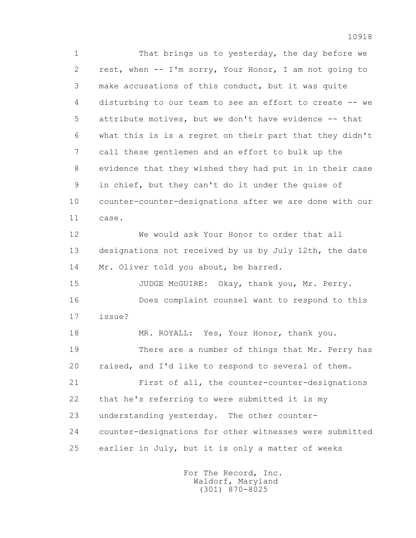1 That brings us to yesterday, the day before we 2 rest, when -- I'm sorry, Your Honor, I am not going to 3 make accusations of this conduct, but it was quite 4 disturbing to our team to see an effort to create -- we 5 attribute motives, but we don't have evidence -- that 6 what this is is a regret on their part that they didn't 7 call these gentlemen and an effort to bulk up the 8 evidence that they wished they had put in in their case 9 in chief, but they can't do it under the guise of 10 counter-counter-designations after we are done with our 11 case. 12 We would ask Your Honor to order that all 13 designations not received by us by July 12th, the date 14 Mr. Oliver told you about, be barred. 15 JUDGE McGUIRE: Okay, thank you, Mr. Perry. 16 Does complaint counsel want to respond to this 17 issue? 18 MR. ROYALL: Yes, Your Honor, thank you.

 19 There are a number of things that Mr. Perry has 20 raised, and I'd like to respond to several of them.

 21 First of all, the counter-counter-designations 22 that he's referring to were submitted it is my 23 understanding yesterday. The other counter- 24 counter-designations for other witnesses were submitted 25 earlier in July, but it is only a matter of weeks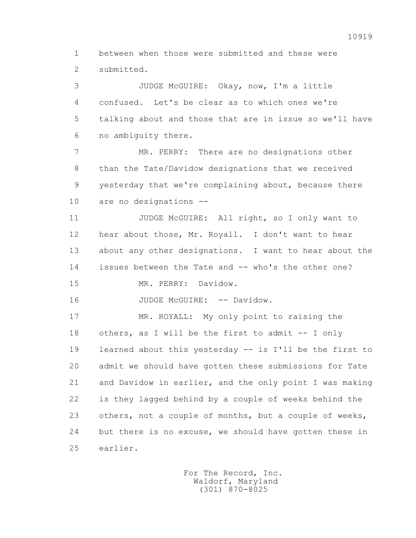1 between when those were submitted and these were 2 submitted.

 3 JUDGE McGUIRE: Okay, now, I'm a little 4 confused. Let's be clear as to which ones we're 5 talking about and those that are in issue so we'll have 6 no ambiguity there.

 7 MR. PERRY: There are no designations other 8 than the Tate/Davidow designations that we received 9 yesterday that we're complaining about, because there 10 are no designations --

11 JUDGE McGUIRE: All right, so I only want to 12 hear about those, Mr. Royall. I don't want to hear 13 about any other designations. I want to hear about the 14 issues between the Tate and -- who's the other one?

15 MR. PERRY: Davidow.

16 JUDGE McGUIRE: -- Davidow.

 17 MR. ROYALL: My only point to raising the 18 others, as I will be the first to admit -- I only 19 learned about this yesterday -- is I'll be the first to 20 admit we should have gotten these submissions for Tate 21 and Davidow in earlier, and the only point I was making 22 is they lagged behind by a couple of weeks behind the 23 others, not a couple of months, but a couple of weeks, 24 but there is no excuse, we should have gotten these in 25 earlier.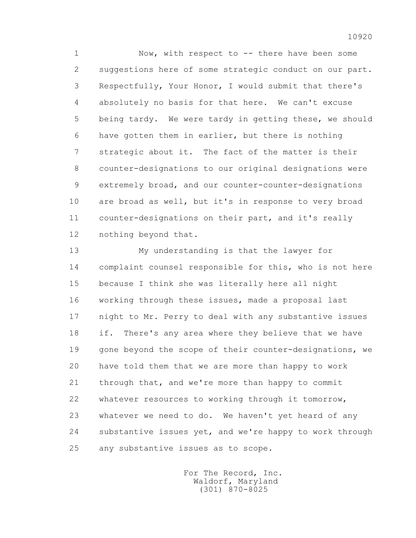1 Now, with respect to -- there have been some 2 suggestions here of some strategic conduct on our part. 3 Respectfully, Your Honor, I would submit that there's 4 absolutely no basis for that here. We can't excuse 5 being tardy. We were tardy in getting these, we should 6 have gotten them in earlier, but there is nothing 7 strategic about it. The fact of the matter is their 8 counter-designations to our original designations were 9 extremely broad, and our counter-counter-designations 10 are broad as well, but it's in response to very broad 11 counter-designations on their part, and it's really 12 nothing beyond that.

 13 My understanding is that the lawyer for 14 complaint counsel responsible for this, who is not here 15 because I think she was literally here all night 16 working through these issues, made a proposal last 17 night to Mr. Perry to deal with any substantive issues 18 if. There's any area where they believe that we have 19 gone beyond the scope of their counter-designations, we 20 have told them that we are more than happy to work 21 through that, and we're more than happy to commit 22 whatever resources to working through it tomorrow, 23 whatever we need to do. We haven't yet heard of any 24 substantive issues yet, and we're happy to work through 25 any substantive issues as to scope.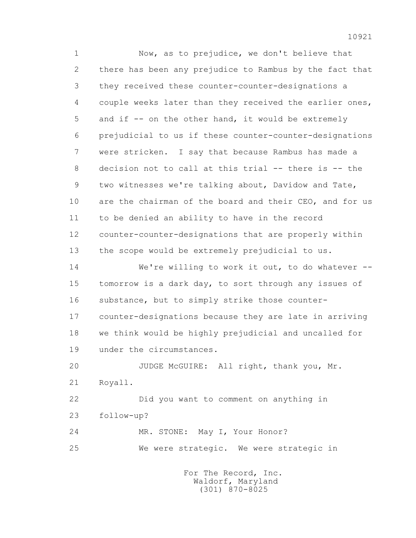1 Now, as to prejudice, we don't believe that 2 there has been any prejudice to Rambus by the fact that 3 they received these counter-counter-designations a 4 couple weeks later than they received the earlier ones, 5 and if -- on the other hand, it would be extremely 6 prejudicial to us if these counter-counter-designations 7 were stricken. I say that because Rambus has made a 8 decision not to call at this trial -- there is -- the 9 two witnesses we're talking about, Davidow and Tate, 10 are the chairman of the board and their CEO, and for us 11 to be denied an ability to have in the record 12 counter-counter-designations that are properly within 13 the scope would be extremely prejudicial to us. 14 We're willing to work it out, to do whatever -- 15 tomorrow is a dark day, to sort through any issues of 16 substance, but to simply strike those counter- 17 counter-designations because they are late in arriving 18 we think would be highly prejudicial and uncalled for 19 under the circumstances. 20 JUDGE McGUIRE: All right, thank you, Mr. 21 Royall. 22 Did you want to comment on anything in 23 follow-up?

 24 MR. STONE: May I, Your Honor? 25 We were strategic. We were strategic in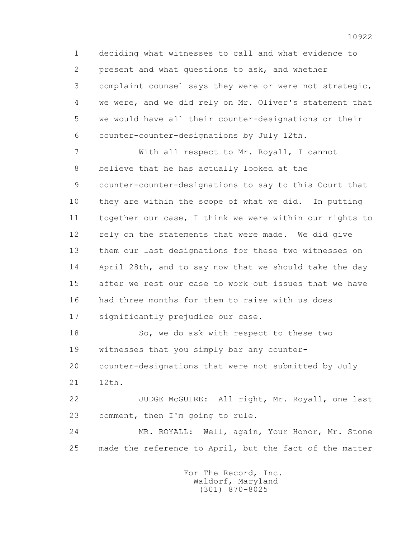1 deciding what witnesses to call and what evidence to 2 present and what questions to ask, and whether 3 complaint counsel says they were or were not strategic, 4 we were, and we did rely on Mr. Oliver's statement that 5 we would have all their counter-designations or their 6 counter-counter-designations by July 12th.

 7 With all respect to Mr. Royall, I cannot 8 believe that he has actually looked at the 9 counter-counter-designations to say to this Court that 10 they are within the scope of what we did. In putting 11 together our case, I think we were within our rights to 12 rely on the statements that were made. We did give 13 them our last designations for these two witnesses on 14 April 28th, and to say now that we should take the day 15 after we rest our case to work out issues that we have 16 had three months for them to raise with us does 17 significantly prejudice our case.

 18 So, we do ask with respect to these two 19 witnesses that you simply bar any counter-

20 counter-designations that were not submitted by July

21 12th.

22 JUDGE McGUIRE: All right, Mr. Royall, one last 23 comment, then I'm going to rule.

 24 MR. ROYALL: Well, again, Your Honor, Mr. Stone 25 made the reference to April, but the fact of the matter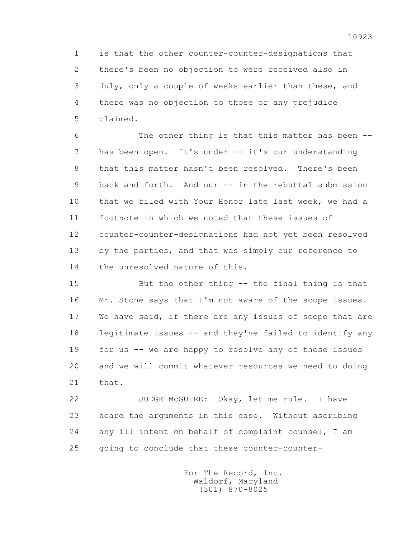1 is that the other counter-counter-designations that 2 there's been no objection to were received also in 3 July, only a couple of weeks earlier than these, and 4 there was no objection to those or any prejudice 5 claimed.

 6 The other thing is that this matter has been -- 7 has been open. It's under -- it's our understanding 8 that this matter hasn't been resolved. There's been 9 back and forth. And our -- in the rebuttal submission 10 that we filed with Your Honor late last week, we had a 11 footnote in which we noted that these issues of 12 counter-counter-designations had not yet been resolved 13 by the parties, and that was simply our reference to 14 the unresolved nature of this.

 15 But the other thing -- the final thing is that 16 Mr. Stone says that I'm not aware of the scope issues. 17 We have said, if there are any issues of scope that are 18 legitimate issues -- and they've failed to identify any 19 for us -- we are happy to resolve any of those issues 20 and we will commit whatever resources we need to doing 21 that.

 22 JUDGE McGUIRE: Okay, let me rule. I have 23 heard the arguments in this case. Without ascribing 24 any ill intent on behalf of complaint counsel, I am 25 going to conclude that these counter-counter-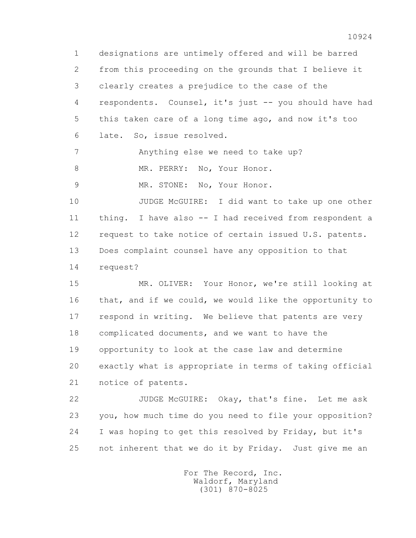1 designations are untimely offered and will be barred 2 from this proceeding on the grounds that I believe it 3 clearly creates a prejudice to the case of the 4 respondents. Counsel, it's just -- you should have had 5 this taken care of a long time ago, and now it's too 6 late. So, issue resolved. 7 Anything else we need to take up?

8 MR. PERRY: No, Your Honor.

9 MR. STONE: No, Your Honor.

 10 JUDGE McGUIRE: I did want to take up one other 11 thing. I have also -- I had received from respondent a 12 request to take notice of certain issued U.S. patents. 13 Does complaint counsel have any opposition to that 14 request?

 15 MR. OLIVER: Your Honor, we're still looking at 16 that, and if we could, we would like the opportunity to 17 respond in writing. We believe that patents are very 18 complicated documents, and we want to have the 19 opportunity to look at the case law and determine 20 exactly what is appropriate in terms of taking official 21 notice of patents.

 22 JUDGE McGUIRE: Okay, that's fine. Let me ask 23 you, how much time do you need to file your opposition? 24 I was hoping to get this resolved by Friday, but it's 25 not inherent that we do it by Friday. Just give me an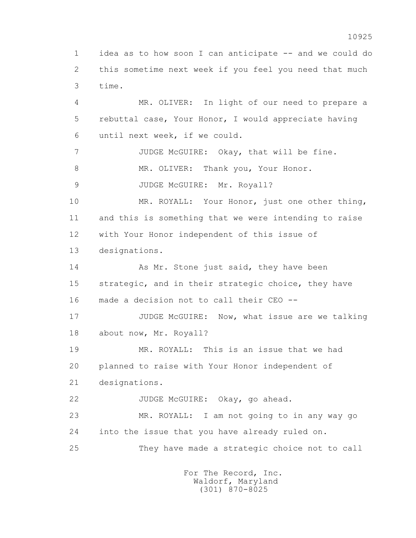1 idea as to how soon I can anticipate -- and we could do 2 this sometime next week if you feel you need that much 3 time.

 4 MR. OLIVER: In light of our need to prepare a 5 rebuttal case, Your Honor, I would appreciate having 6 until next week, if we could. 7 JUDGE McGUIRE: Okay, that will be fine. 8 MR. OLIVER: Thank you, Your Honor. 9 JUDGE McGUIRE: Mr. Royall? 10 MR. ROYALL: Your Honor, just one other thing, 11 and this is something that we were intending to raise 12 with Your Honor independent of this issue of

13 designations.

14 As Mr. Stone just said, they have been 15 strategic, and in their strategic choice, they have 16 made a decision not to call their CEO --

17 JUDGE McGUIRE: Now, what issue are we talking 18 about now, Mr. Royall?

 19 MR. ROYALL: This is an issue that we had 20 planned to raise with Your Honor independent of 21 designations.

22 JUDGE McGUIRE: Okay, go ahead.

 23 MR. ROYALL: I am not going to in any way go 24 into the issue that you have already ruled on.

25 They have made a strategic choice not to call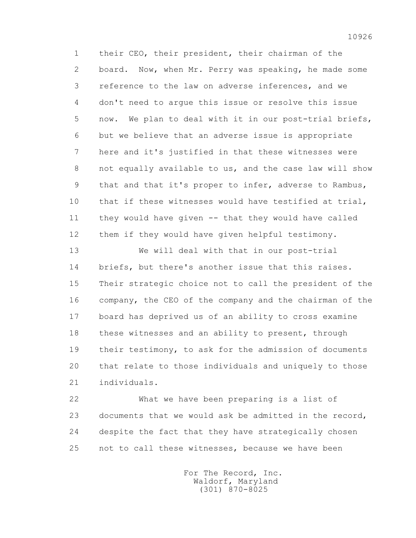1 their CEO, their president, their chairman of the 2 board. Now, when Mr. Perry was speaking, he made some 3 reference to the law on adverse inferences, and we 4 don't need to argue this issue or resolve this issue 5 now. We plan to deal with it in our post-trial briefs, 6 but we believe that an adverse issue is appropriate 7 here and it's justified in that these witnesses were 8 not equally available to us, and the case law will show 9 that and that it's proper to infer, adverse to Rambus, 10 that if these witnesses would have testified at trial, 11 they would have given -- that they would have called 12 them if they would have given helpful testimony.

 13 We will deal with that in our post-trial 14 briefs, but there's another issue that this raises. 15 Their strategic choice not to call the president of the 16 company, the CEO of the company and the chairman of the 17 board has deprived us of an ability to cross examine 18 these witnesses and an ability to present, through 19 their testimony, to ask for the admission of documents 20 that relate to those individuals and uniquely to those 21 individuals.

 22 What we have been preparing is a list of 23 documents that we would ask be admitted in the record, 24 despite the fact that they have strategically chosen 25 not to call these witnesses, because we have been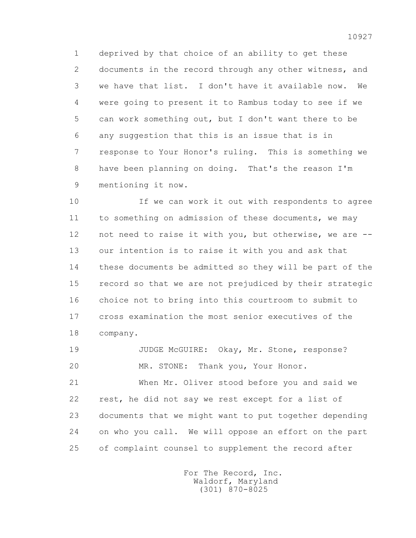1 deprived by that choice of an ability to get these 2 documents in the record through any other witness, and 3 we have that list. I don't have it available now. We 4 were going to present it to Rambus today to see if we 5 can work something out, but I don't want there to be 6 any suggestion that this is an issue that is in 7 response to Your Honor's ruling. This is something we 8 have been planning on doing. That's the reason I'm 9 mentioning it now.

 10 If we can work it out with respondents to agree 11 to something on admission of these documents, we may 12 not need to raise it with you, but otherwise, we are -- 13 our intention is to raise it with you and ask that 14 these documents be admitted so they will be part of the 15 record so that we are not prejudiced by their strategic 16 choice not to bring into this courtroom to submit to 17 cross examination the most senior executives of the 18 company.

 19 JUDGE McGUIRE: Okay, Mr. Stone, response? 20 MR. STONE: Thank you, Your Honor.

 21 When Mr. Oliver stood before you and said we 22 rest, he did not say we rest except for a list of 23 documents that we might want to put together depending 24 on who you call. We will oppose an effort on the part 25 of complaint counsel to supplement the record after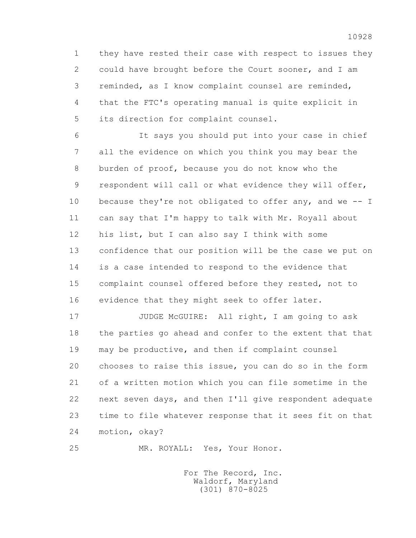1 they have rested their case with respect to issues they 2 could have brought before the Court sooner, and I am 3 reminded, as I know complaint counsel are reminded, 4 that the FTC's operating manual is quite explicit in 5 its direction for complaint counsel.

 6 It says you should put into your case in chief 7 all the evidence on which you think you may bear the 8 burden of proof, because you do not know who the 9 respondent will call or what evidence they will offer, 10 because they're not obligated to offer any, and we -- I 11 can say that I'm happy to talk with Mr. Royall about 12 his list, but I can also say I think with some 13 confidence that our position will be the case we put on 14 is a case intended to respond to the evidence that 15 complaint counsel offered before they rested, not to 16 evidence that they might seek to offer later.

17 JUDGE McGUIRE: All right, I am going to ask 18 the parties go ahead and confer to the extent that that 19 may be productive, and then if complaint counsel 20 chooses to raise this issue, you can do so in the form 21 of a written motion which you can file sometime in the 22 next seven days, and then I'll give respondent adequate 23 time to file whatever response that it sees fit on that 24 motion, okay?

25 MR. ROYALL: Yes, Your Honor.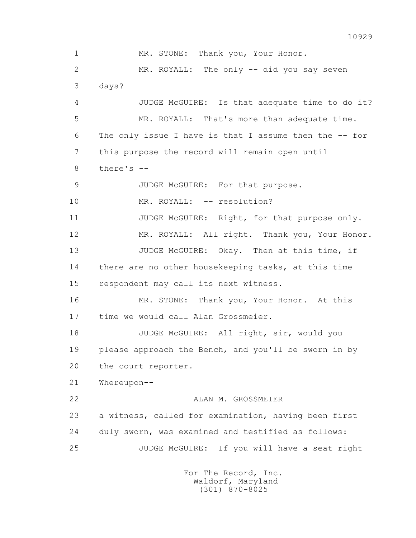1 MR. STONE: Thank you, Your Honor. 2 MR. ROYALL: The only -- did you say seven 3 days? 4 JUDGE McGUIRE: Is that adequate time to do it? 5 MR. ROYALL: That's more than adequate time. 6 The only issue I have is that I assume then the -- for 7 this purpose the record will remain open until 8 there's -- 9 JUDGE McGUIRE: For that purpose. 10 MR. ROYALL: -- resolution? 11 JUDGE McGUIRE: Right, for that purpose only. 12 MR. ROYALL: All right. Thank you, Your Honor. 13 JUDGE McGUIRE: Okay. Then at this time, if 14 there are no other housekeeping tasks, at this time 15 respondent may call its next witness. 16 MR. STONE: Thank you, Your Honor. At this 17 time we would call Alan Grossmeier. 18 JUDGE McGUIRE: All right, sir, would you 19 please approach the Bench, and you'll be sworn in by 20 the court reporter. 21 Whereupon-- 22 ALAN M. GROSSMEIER 23 a witness, called for examination, having been first 24 duly sworn, was examined and testified as follows: 25 JUDGE McGUIRE: If you will have a seat right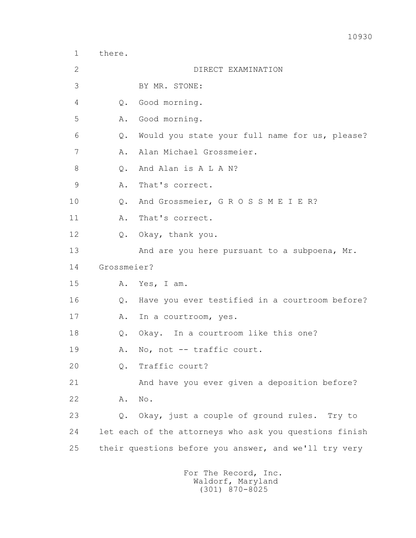3 BY MR. STONE: 4 Q. Good morning. 5 A. Good morning. 6 Q. Would you state your full name for us, please? 7 A. Alan Michael Grossmeier. 8 0. And Alan is A L A N? 9 A. That's correct. 10 Q. And Grossmeier, G R O S S M E I E R? 11 A. That's correct. 12 Q. Okay, thank you. 13 And are you here pursuant to a subpoena, Mr. 14 Grossmeier? 15 A. Yes, I am. 16 Q. Have you ever testified in a courtroom before? 17 A. In a courtroom, yes. 18 Q. Okay. In a courtroom like this one? 19 A. No, not -- traffic court. 20 Q. Traffic court? 21 And have you ever given a deposition before? 22 A. No. 23 Q. Okay, just a couple of ground rules. Try to 24 let each of the attorneys who ask you questions finish 25 their questions before you answer, and we'll try very

1 there.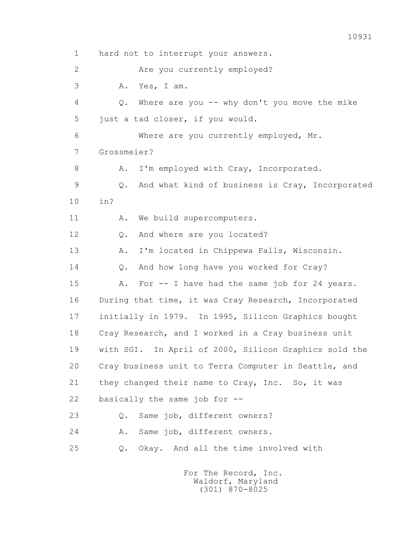1 hard not to interrupt your answers. 2 Are you currently employed? 3 A. Yes, I am. 4 Q. Where are you -- why don't you move the mike 5 just a tad closer, if you would. 6 Where are you currently employed, Mr. 7 Grossmeier? 8 A. I'm employed with Cray, Incorporated. 9 Q. And what kind of business is Cray, Incorporated 10 in? 11 A. We build supercomputers. 12 Q. And where are you located? 13 A. I'm located in Chippewa Falls, Wisconsin. 14 O. And how long have you worked for Cray? 15 A. For -- I have had the same job for 24 years. 16 During that time, it was Cray Research, Incorporated 17 initially in 1979. In 1995, Silicon Graphics bought 18 Cray Research, and I worked in a Cray business unit 19 with SGI. In April of 2000, Silicon Graphics sold the 20 Cray business unit to Terra Computer in Seattle, and 21 they changed their name to Cray, Inc. So, it was 22 basically the same job for -- 23 Q. Same job, different owners? 24 A. Same job, different owners. 25 Q. Okay. And all the time involved with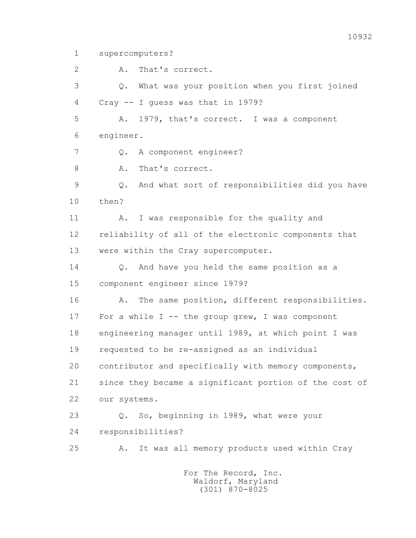1 supercomputers?

 2 A. That's correct. 3 Q. What was your position when you first joined 4 Cray -- I guess was that in 1979? 5 A. 1979, that's correct. I was a component 6 engineer. 7 Q. A component engineer? 8 A. That's correct. 9 Q. And what sort of responsibilities did you have 10 then? 11 A. I was responsible for the quality and 12 reliability of all of the electronic components that 13 were within the Cray supercomputer. 14 0. And have you held the same position as a 15 component engineer since 1979? 16 A. The same position, different responsibilities. 17 For a while I -- the group grew, I was component 18 engineering manager until 1989, at which point I was 19 requested to be re-assigned as an individual 20 contributor and specifically with memory components, 21 since they became a significant portion of the cost of 22 our systems. 23 Q. So, beginning in 1989, what were your 24 responsibilities? 25 A. It was all memory products used within Cray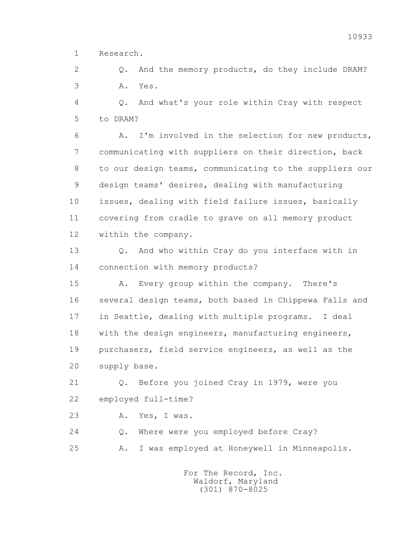1 Research.

2 0. And the memory products, do they include DRAM? 3 A. Yes.

 4 Q. And what's your role within Cray with respect 5 to DRAM?

 6 A. I'm involved in the selection for new products, 7 communicating with suppliers on their direction, back 8 to our design teams, communicating to the suppliers our 9 design teams' desires, dealing with manufacturing 10 issues, dealing with field failure issues, basically 11 covering from cradle to grave on all memory product 12 within the company.

 13 Q. And who within Cray do you interface with in 14 connection with memory products?

 15 A. Every group within the company. There's 16 several design teams, both based in Chippewa Falls and 17 in Seattle, dealing with multiple programs. I deal 18 with the design engineers, manufacturing engineers, 19 purchasers, field service engineers, as well as the 20 supply base.

 21 Q. Before you joined Cray in 1979, were you 22 employed full-time?

23 A. Yes, I was.

 24 Q. Where were you employed before Cray? 25 A. I was employed at Honeywell in Minneapolis.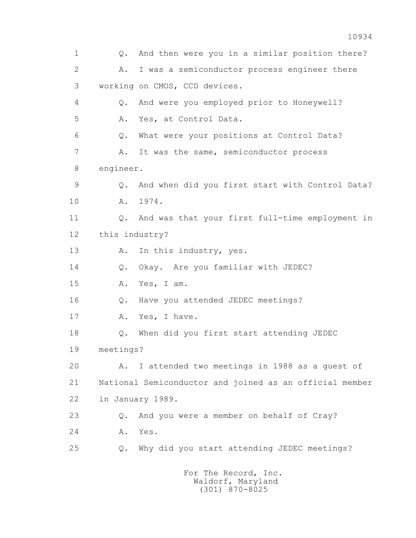1 Q. And then were you in a similar position there? 2 A. I was a semiconductor process engineer there 3 working on CMOS, CCD devices. 4 Q. And were you employed prior to Honeywell? 5 A. Yes, at Control Data. 6 Q. What were your positions at Control Data? 7 A. It was the same, semiconductor process 8 engineer. 9 Q. And when did you first start with Control Data? 10 A. 1974. 11 Q. And was that your first full-time employment in 12 this industry? 13 A. In this industry, yes. 14 O. Okay. Are you familiar with JEDEC? 15 A. Yes, I am. 16 Q. Have you attended JEDEC meetings? 17 A. Yes, I have. 18 Q. When did you first start attending JEDEC 19 meetings? 20 A. I attended two meetings in 1988 as a guest of 21 National Semiconductor and joined as an official member 22 in January 1989. 23 Q. And you were a member on behalf of Cray? 24 A. Yes. 25 Q. Why did you start attending JEDEC meetings? For The Record, Inc.

 Waldorf, Maryland (301) 870-8025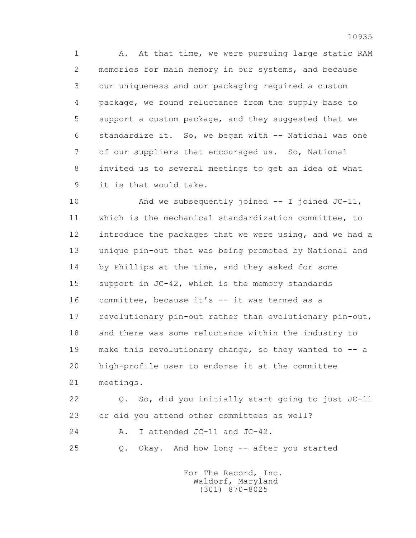1 A. At that time, we were pursuing large static RAM 2 memories for main memory in our systems, and because 3 our uniqueness and our packaging required a custom 4 package, we found reluctance from the supply base to 5 support a custom package, and they suggested that we 6 standardize it. So, we began with -- National was one 7 of our suppliers that encouraged us. So, National 8 invited us to several meetings to get an idea of what 9 it is that would take.

 10 And we subsequently joined -- I joined JC-11, 11 which is the mechanical standardization committee, to 12 introduce the packages that we were using, and we had a 13 unique pin-out that was being promoted by National and 14 by Phillips at the time, and they asked for some 15 support in JC-42, which is the memory standards 16 committee, because it's -- it was termed as a 17 revolutionary pin-out rather than evolutionary pin-out, 18 and there was some reluctance within the industry to 19 make this revolutionary change, so they wanted to -- a 20 high-profile user to endorse it at the committee 21 meetings.

 22 Q. So, did you initially start going to just JC-11 23 or did you attend other committees as well? 24 A. I attended JC-11 and JC-42.

25 Q. Okay. And how long -- after you started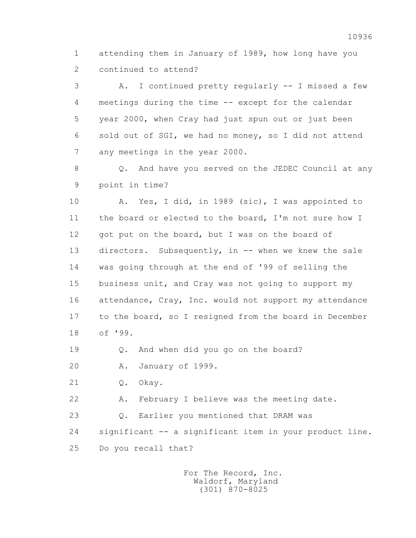1 attending them in January of 1989, how long have you 2 continued to attend?

 3 A. I continued pretty regularly -- I missed a few 4 meetings during the time -- except for the calendar 5 year 2000, when Cray had just spun out or just been 6 sold out of SGI, we had no money, so I did not attend 7 any meetings in the year 2000.

 8 Q. And have you served on the JEDEC Council at any 9 point in time?

 10 A. Yes, I did, in 1989 (sic), I was appointed to 11 the board or elected to the board, I'm not sure how I 12 got put on the board, but I was on the board of 13 directors. Subsequently, in -- when we knew the sale 14 was going through at the end of '99 of selling the 15 business unit, and Cray was not going to support my 16 attendance, Cray, Inc. would not support my attendance 17 to the board, so I resigned from the board in December 18 of '99.

19 Q. And when did you go on the board?

20 A. January of 1999.

21 Q. Okay.

22 A. February I believe was the meeting date.

23 Q. Earlier you mentioned that DRAM was

 24 significant -- a significant item in your product line. 25 Do you recall that?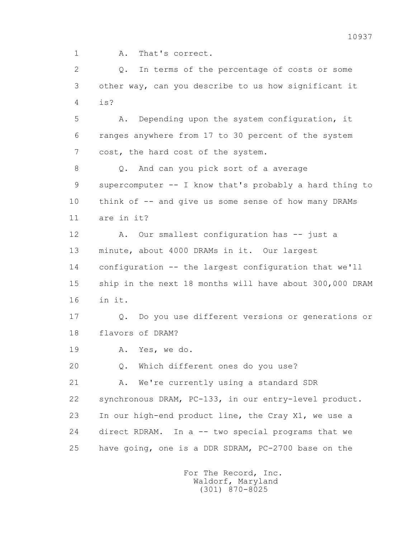1 A. That's correct.

 2 Q. In terms of the percentage of costs or some 3 other way, can you describe to us how significant it 4 is?

 5 A. Depending upon the system configuration, it 6 ranges anywhere from 17 to 30 percent of the system 7 cost, the hard cost of the system.

 8 Q. And can you pick sort of a average 9 supercomputer -- I know that's probably a hard thing to 10 think of -- and give us some sense of how many DRAMs 11 are in it?

 12 A. Our smallest configuration has -- just a 13 minute, about 4000 DRAMs in it. Our largest 14 configuration -- the largest configuration that we'll 15 ship in the next 18 months will have about 300,000 DRAM 16 in it.

 17 Q. Do you use different versions or generations or 18 flavors of DRAM?

19 A. Yes, we do.

20 Q. Which different ones do you use?

21 A. We're currently using a standard SDR 22 synchronous DRAM, PC-133, in our entry-level product. 23 In our high-end product line, the Cray X1, we use a 24 direct RDRAM. In a -- two special programs that we 25 have going, one is a DDR SDRAM, PC-2700 base on the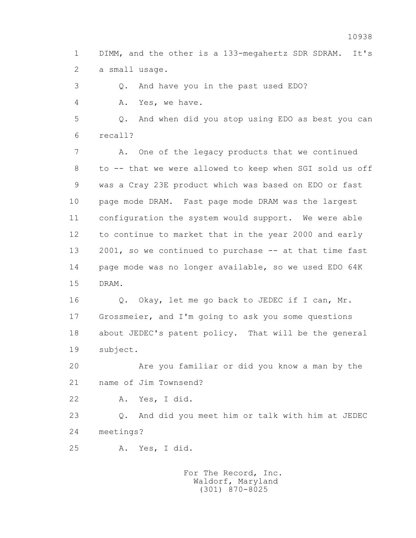1 DIMM, and the other is a 133-megahertz SDR SDRAM. It's 2 a small usage.

3 Q. And have you in the past used EDO?

4 A. Yes, we have.

 5 Q. And when did you stop using EDO as best you can 6 recall?

 7 A. One of the legacy products that we continued 8 to -- that we were allowed to keep when SGI sold us off 9 was a Cray 23E product which was based on EDO or fast 10 page mode DRAM. Fast page mode DRAM was the largest 11 configuration the system would support. We were able 12 to continue to market that in the year 2000 and early 13 2001, so we continued to purchase -- at that time fast 14 page mode was no longer available, so we used EDO 64K 15 DRAM.

 16 Q. Okay, let me go back to JEDEC if I can, Mr. 17 Grossmeier, and I'm going to ask you some questions 18 about JEDEC's patent policy. That will be the general 19 subject.

 20 Are you familiar or did you know a man by the 21 name of Jim Townsend?

22 A. Yes, I did.

 23 Q. And did you meet him or talk with him at JEDEC 24 meetings?

25 A. Yes, I did.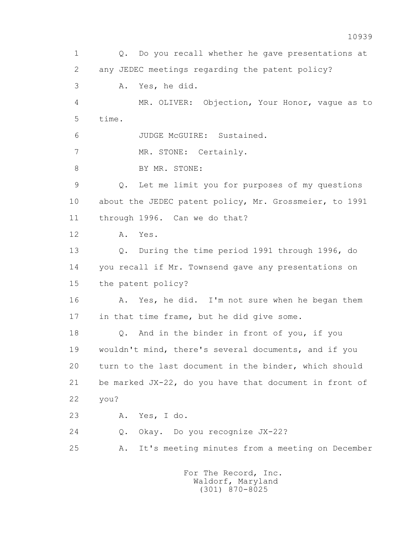1 Q. Do you recall whether he gave presentations at 2 any JEDEC meetings regarding the patent policy? 3 A. Yes, he did. 4 MR. OLIVER: Objection, Your Honor, vague as to 5 time. 6 JUDGE McGUIRE: Sustained. 7 MR. STONE: Certainly. 8 BY MR. STONE: 9 Q. Let me limit you for purposes of my questions 10 about the JEDEC patent policy, Mr. Grossmeier, to 1991 11 through 1996. Can we do that? 12 A. Yes. 13 Q. During the time period 1991 through 1996, do 14 you recall if Mr. Townsend gave any presentations on 15 the patent policy? 16 A. Yes, he did. I'm not sure when he began them 17 in that time frame, but he did give some. 18 Q. And in the binder in front of you, if you 19 wouldn't mind, there's several documents, and if you 20 turn to the last document in the binder, which should 21 be marked JX-22, do you have that document in front of 22 you? 23 A. Yes, I do. 24 Q. Okay. Do you recognize JX-22? 25 A. It's meeting minutes from a meeting on December For The Record, Inc.

 Waldorf, Maryland (301) 870-8025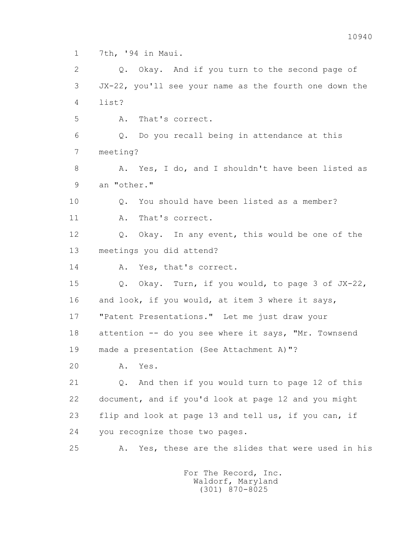1 7th, '94 in Maui.

 2 Q. Okay. And if you turn to the second page of 3 JX-22, you'll see your name as the fourth one down the 4 list?

5 A. That's correct.

 6 Q. Do you recall being in attendance at this 7 meeting?

 8 A. Yes, I do, and I shouldn't have been listed as 9 an "other."

 10 Q. You should have been listed as a member? 11 A. That's correct.

 12 Q. Okay. In any event, this would be one of the 13 meetings you did attend?

14 A. Yes, that's correct.

 15 Q. Okay. Turn, if you would, to page 3 of JX-22, 16 and look, if you would, at item 3 where it says, 17 "Patent Presentations." Let me just draw your 18 attention -- do you see where it says, "Mr. Townsend 19 made a presentation (See Attachment A)"?

20 A. Yes.

 21 Q. And then if you would turn to page 12 of this 22 document, and if you'd look at page 12 and you might 23 flip and look at page 13 and tell us, if you can, if 24 you recognize those two pages.

25 A. Yes, these are the slides that were used in his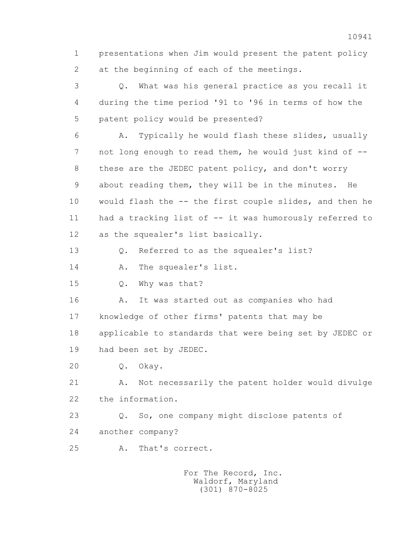1 presentations when Jim would present the patent policy 2 at the beginning of each of the meetings.

 3 Q. What was his general practice as you recall it 4 during the time period '91 to '96 in terms of how the 5 patent policy would be presented?

 6 A. Typically he would flash these slides, usually 7 not long enough to read them, he would just kind of -- 8 these are the JEDEC patent policy, and don't worry 9 about reading them, they will be in the minutes. He 10 would flash the -- the first couple slides, and then he 11 had a tracking list of -- it was humorously referred to 12 as the squealer's list basically.

13 Q. Referred to as the squealer's list?

14 A. The squealer's list.

15 Q. Why was that?

 16 A. It was started out as companies who had 17 knowledge of other firms' patents that may be 18 applicable to standards that were being set by JEDEC or

19 had been set by JEDEC.

20 Q. Okay.

21 A. Not necessarily the patent holder would divulge 22 the information.

 23 Q. So, one company might disclose patents of 24 another company?

25 A. That's correct.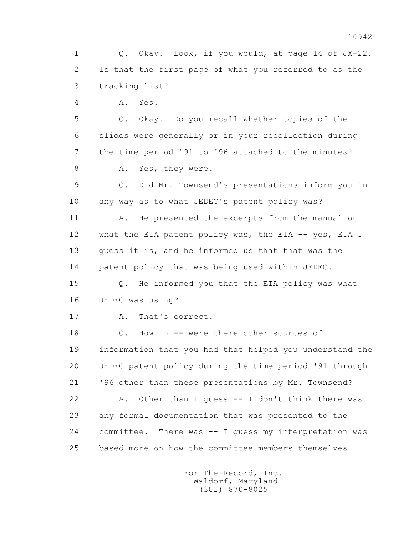1 Q. Okay. Look, if you would, at page 14 of JX-22. 2 Is that the first page of what you referred to as the 3 tracking list?

4 A. Yes.

 5 Q. Okay. Do you recall whether copies of the 6 slides were generally or in your recollection during 7 the time period '91 to '96 attached to the minutes? 8 A. Yes, they were.

 9 Q. Did Mr. Townsend's presentations inform you in 10 any way as to what JEDEC's patent policy was?

11 A. He presented the excerpts from the manual on 12 what the EIA patent policy was, the EIA -- yes, EIA I 13 guess it is, and he informed us that that was the 14 patent policy that was being used within JEDEC.

 15 Q. He informed you that the EIA policy was what 16 JEDEC was using?

17 A. That's correct.

18 Q. How in -- were there other sources of 19 information that you had that helped you understand the 20 JEDEC patent policy during the time period '91 through 21 '96 other than these presentations by Mr. Townsend? 22 A. Other than I guess -- I don't think there was 23 any formal documentation that was presented to the 24 committee. There was -- I guess my interpretation was 25 based more on how the committee members themselves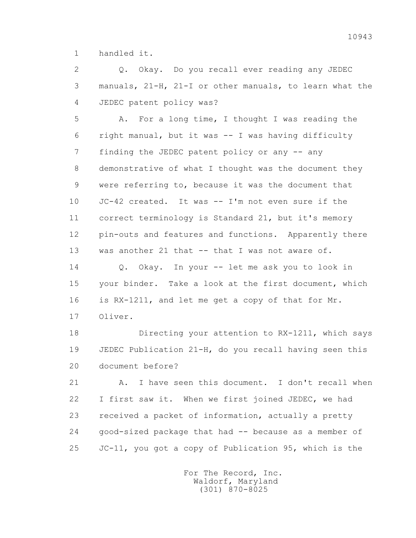1 handled it.

 2 Q. Okay. Do you recall ever reading any JEDEC 3 manuals, 21-H, 21-I or other manuals, to learn what the 4 JEDEC patent policy was?

 5 A. For a long time, I thought I was reading the 6 right manual, but it was -- I was having difficulty 7 finding the JEDEC patent policy or any -- any 8 demonstrative of what I thought was the document they 9 were referring to, because it was the document that 10 JC-42 created. It was -- I'm not even sure if the 11 correct terminology is Standard 21, but it's memory 12 pin-outs and features and functions. Apparently there 13 was another 21 that -- that I was not aware of.

 14 Q. Okay. In your -- let me ask you to look in 15 your binder. Take a look at the first document, which 16 is RX-1211, and let me get a copy of that for Mr. 17 Oliver.

 18 Directing your attention to RX-1211, which says 19 JEDEC Publication 21-H, do you recall having seen this 20 document before?

21 A. I have seen this document. I don't recall when 22 I first saw it. When we first joined JEDEC, we had 23 received a packet of information, actually a pretty 24 good-sized package that had -- because as a member of 25 JC-11, you got a copy of Publication 95, which is the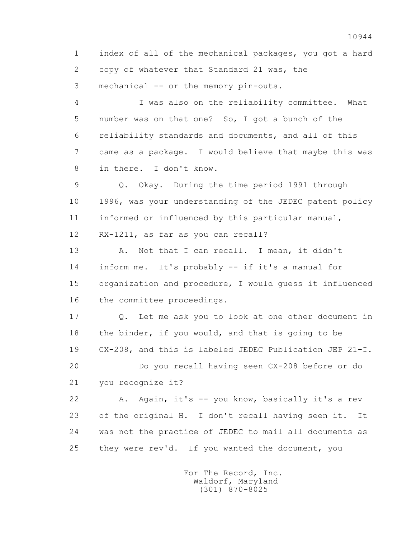1 index of all of the mechanical packages, you got a hard 2 copy of whatever that Standard 21 was, the 3 mechanical -- or the memory pin-outs.

 4 I was also on the reliability committee. What 5 number was on that one? So, I got a bunch of the 6 reliability standards and documents, and all of this 7 came as a package. I would believe that maybe this was 8 in there. I don't know.

 9 Q. Okay. During the time period 1991 through 10 1996, was your understanding of the JEDEC patent policy 11 informed or influenced by this particular manual, 12 RX-1211, as far as you can recall?

 13 A. Not that I can recall. I mean, it didn't 14 inform me. It's probably -- if it's a manual for 15 organization and procedure, I would guess it influenced 16 the committee proceedings.

 17 Q. Let me ask you to look at one other document in 18 the binder, if you would, and that is going to be 19 CX-208, and this is labeled JEDEC Publication JEP 21-I. 20 Do you recall having seen CX-208 before or do

21 you recognize it?

 22 A. Again, it's -- you know, basically it's a rev 23 of the original H. I don't recall having seen it. It 24 was not the practice of JEDEC to mail all documents as 25 they were rev'd. If you wanted the document, you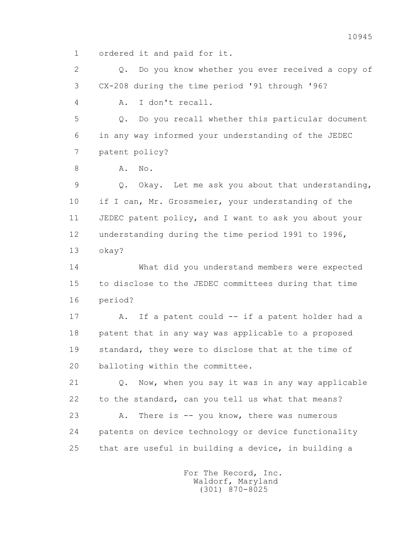1 ordered it and paid for it.

 2 Q. Do you know whether you ever received a copy of 3 CX-208 during the time period '91 through '96?

4 A. I don't recall.

 5 Q. Do you recall whether this particular document 6 in any way informed your understanding of the JEDEC 7 patent policy?

8 **A.** No.

 9 Q. Okay. Let me ask you about that understanding, 10 if I can, Mr. Grossmeier, your understanding of the 11 JEDEC patent policy, and I want to ask you about your 12 understanding during the time period 1991 to 1996, 13 okay?

 14 What did you understand members were expected 15 to disclose to the JEDEC committees during that time 16 period?

 17 A. If a patent could -- if a patent holder had a 18 patent that in any way was applicable to a proposed 19 standard, they were to disclose that at the time of 20 balloting within the committee.

 21 Q. Now, when you say it was in any way applicable 22 to the standard, can you tell us what that means? 23 A. There is -- you know, there was numerous 24 patents on device technology or device functionality 25 that are useful in building a device, in building a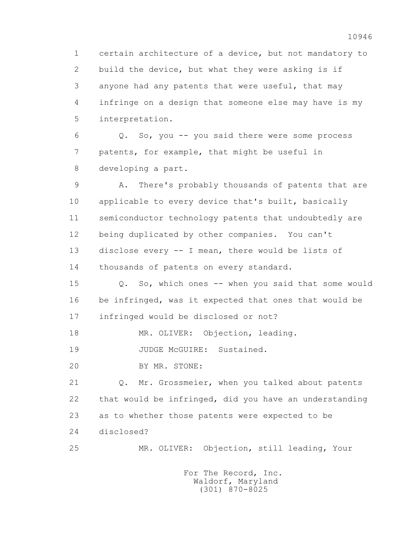1 certain architecture of a device, but not mandatory to 2 build the device, but what they were asking is if 3 anyone had any patents that were useful, that may 4 infringe on a design that someone else may have is my 5 interpretation.

 6 Q. So, you -- you said there were some process 7 patents, for example, that might be useful in 8 developing a part.

 9 A. There's probably thousands of patents that are 10 applicable to every device that's built, basically 11 semiconductor technology patents that undoubtedly are 12 being duplicated by other companies. You can't 13 disclose every -- I mean, there would be lists of 14 thousands of patents on every standard.

 15 Q. So, which ones -- when you said that some would 16 be infringed, was it expected that ones that would be 17 infringed would be disclosed or not?

18 MR. OLIVER: Objection, leading.

19 JUDGE McGUIRE: Sustained.

20 BY MR. STONE:

 21 Q. Mr. Grossmeier, when you talked about patents 22 that would be infringed, did you have an understanding 23 as to whether those patents were expected to be 24 disclosed?

25 MR. OLIVER: Objection, still leading, Your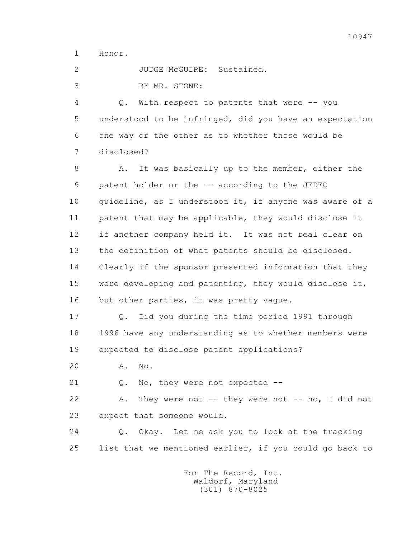1 Honor.

2 JUDGE McGUIRE: Sustained.

3 BY MR. STONE:

 4 Q. With respect to patents that were -- you 5 understood to be infringed, did you have an expectation 6 one way or the other as to whether those would be 7 disclosed?

8 A. It was basically up to the member, either the 9 patent holder or the -- according to the JEDEC 10 guideline, as I understood it, if anyone was aware of a 11 patent that may be applicable, they would disclose it 12 if another company held it. It was not real clear on 13 the definition of what patents should be disclosed. 14 Clearly if the sponsor presented information that they 15 were developing and patenting, they would disclose it, 16 but other parties, it was pretty vague.

 17 Q. Did you during the time period 1991 through 18 1996 have any understanding as to whether members were 19 expected to disclose patent applications?

20 A. No.

21 Q. No, they were not expected --

22 A. They were not -- they were not -- no, I did not 23 expect that someone would.

 24 Q. Okay. Let me ask you to look at the tracking 25 list that we mentioned earlier, if you could go back to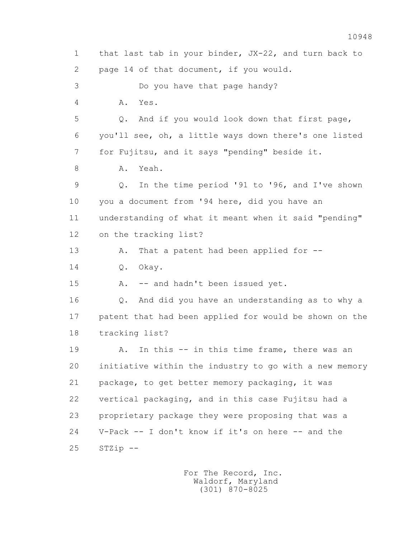1 that last tab in your binder, JX-22, and turn back to 2 page 14 of that document, if you would. 3 Do you have that page handy? 4 A. Yes. 5 Q. And if you would look down that first page, 6 you'll see, oh, a little ways down there's one listed 7 for Fujitsu, and it says "pending" beside it. 8 A. Yeah. 9 Q. In the time period '91 to '96, and I've shown 10 you a document from '94 here, did you have an 11 understanding of what it meant when it said "pending" 12 on the tracking list? 13 A. That a patent had been applied for --14 0. Okay. 15 A. -- and hadn't been issued yet. 16 Q. And did you have an understanding as to why a 17 patent that had been applied for would be shown on the 18 tracking list? 19 A. In this -- in this time frame, there was an 20 initiative within the industry to go with a new memory 21 package, to get better memory packaging, it was 22 vertical packaging, and in this case Fujitsu had a 23 proprietary package they were proposing that was a 24 V-Pack -- I don't know if it's on here -- and the 25 STZip --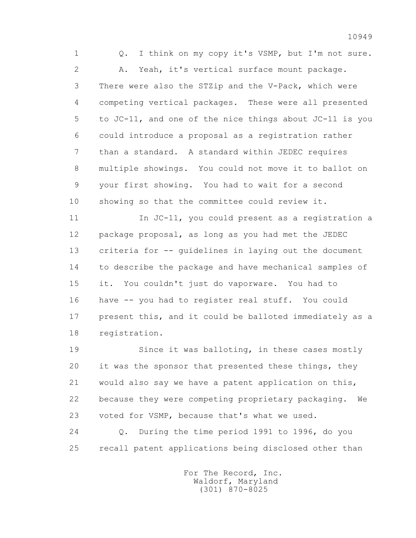1 Q. I think on my copy it's VSMP, but I'm not sure. 2 A. Yeah, it's vertical surface mount package. 3 There were also the STZip and the V-Pack, which were 4 competing vertical packages. These were all presented 5 to JC-11, and one of the nice things about JC-11 is you 6 could introduce a proposal as a registration rather 7 than a standard. A standard within JEDEC requires 8 multiple showings. You could not move it to ballot on 9 your first showing. You had to wait for a second 10 showing so that the committee could review it.

 11 In JC-11, you could present as a registration a 12 package proposal, as long as you had met the JEDEC 13 criteria for -- guidelines in laying out the document 14 to describe the package and have mechanical samples of 15 it. You couldn't just do vaporware. You had to 16 have -- you had to register real stuff. You could 17 present this, and it could be balloted immediately as a 18 registration.

 19 Since it was balloting, in these cases mostly 20 it was the sponsor that presented these things, they 21 would also say we have a patent application on this, 22 because they were competing proprietary packaging. We 23 voted for VSMP, because that's what we used.

 24 Q. During the time period 1991 to 1996, do you 25 recall patent applications being disclosed other than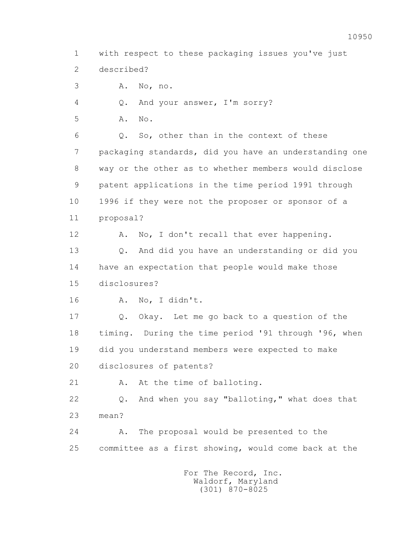2 described? 3 A. No, no. 4 Q. And your answer, I'm sorry? 5 A. No. 6 Q. So, other than in the context of these 7 packaging standards, did you have an understanding one 8 way or the other as to whether members would disclose 9 patent applications in the time period 1991 through 10 1996 if they were not the proposer or sponsor of a 11 proposal? 12 A. No, I don't recall that ever happening. 13 Q. And did you have an understanding or did you 14 have an expectation that people would make those

1 with respect to these packaging issues you've just

15 disclosures?

16 A. No, I didn't.

 17 Q. Okay. Let me go back to a question of the 18 timing. During the time period '91 through '96, when 19 did you understand members were expected to make 20 disclosures of patents?

21 A. At the time of balloting.

 22 Q. And when you say "balloting," what does that 23 mean?

 24 A. The proposal would be presented to the 25 committee as a first showing, would come back at the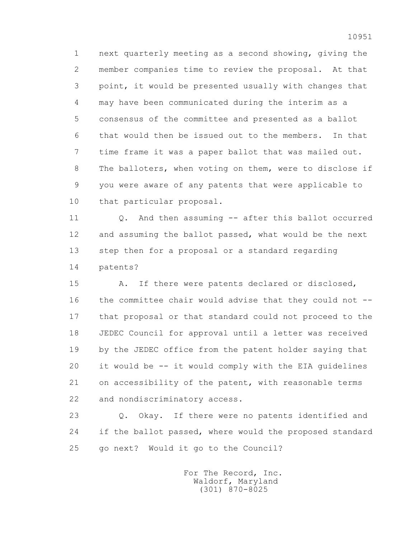1 next quarterly meeting as a second showing, giving the 2 member companies time to review the proposal. At that 3 point, it would be presented usually with changes that 4 may have been communicated during the interim as a 5 consensus of the committee and presented as a ballot 6 that would then be issued out to the members. In that 7 time frame it was a paper ballot that was mailed out. 8 The balloters, when voting on them, were to disclose if 9 you were aware of any patents that were applicable to 10 that particular proposal.

 11 Q. And then assuming -- after this ballot occurred 12 and assuming the ballot passed, what would be the next 13 step then for a proposal or a standard regarding 14 patents?

 15 A. If there were patents declared or disclosed, 16 the committee chair would advise that they could not -- 17 that proposal or that standard could not proceed to the 18 JEDEC Council for approval until a letter was received 19 by the JEDEC office from the patent holder saying that 20 it would be -- it would comply with the EIA guidelines 21 on accessibility of the patent, with reasonable terms 22 and nondiscriminatory access.

 23 Q. Okay. If there were no patents identified and 24 if the ballot passed, where would the proposed standard 25 go next? Would it go to the Council?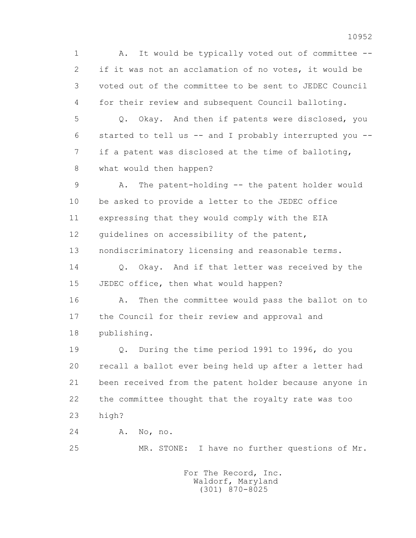1 A. It would be typically voted out of committee -- 2 if it was not an acclamation of no votes, it would be 3 voted out of the committee to be sent to JEDEC Council 4 for their review and subsequent Council balloting. 5 Q. Okay. And then if patents were disclosed, you 6 started to tell us -- and I probably interrupted you -- 7 if a patent was disclosed at the time of balloting, 8 what would then happen? 9 A. The patent-holding -- the patent holder would 10 be asked to provide a letter to the JEDEC office 11 expressing that they would comply with the EIA 12 quidelines on accessibility of the patent, 13 nondiscriminatory licensing and reasonable terms. 14 0. Okay. And if that letter was received by the 15 JEDEC office, then what would happen? 16 A. Then the committee would pass the ballot on to 17 the Council for their review and approval and 18 publishing. 19 Q. During the time period 1991 to 1996, do you 20 recall a ballot ever being held up after a letter had 21 been received from the patent holder because anyone in 22 the committee thought that the royalty rate was too 23 high? 24 A. No, no. 25 MR. STONE: I have no further questions of Mr.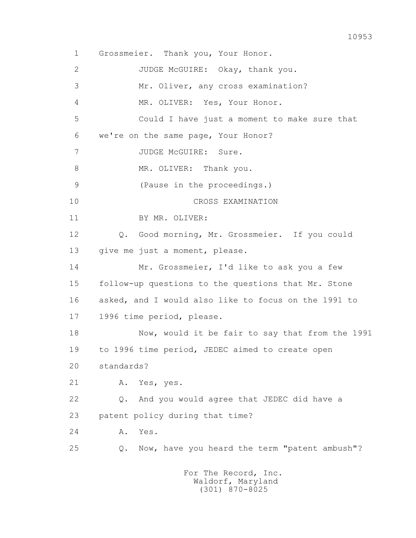1 Grossmeier. Thank you, Your Honor. 2 JUDGE McGUIRE: Okay, thank you. 3 Mr. Oliver, any cross examination? 4 MR. OLIVER: Yes, Your Honor. 5 Could I have just a moment to make sure that 6 we're on the same page, Your Honor? 7 JUDGE McGUIRE: Sure. 8 MR. OLIVER: Thank you. 9 (Pause in the proceedings.) 10 CROSS EXAMINATION 11 BY MR. OLIVER: 12 Q. Good morning, Mr. Grossmeier. If you could 13 give me just a moment, please. 14 Mr. Grossmeier, I'd like to ask you a few 15 follow-up questions to the questions that Mr. Stone 16 asked, and I would also like to focus on the 1991 to 17 1996 time period, please. 18 Now, would it be fair to say that from the 1991 19 to 1996 time period, JEDEC aimed to create open 20 standards? 21 A. Yes, yes. 22 Q. And you would agree that JEDEC did have a 23 patent policy during that time? 24 A. Yes. 25 Q. Now, have you heard the term "patent ambush"? For The Record, Inc.

 Waldorf, Maryland (301) 870-8025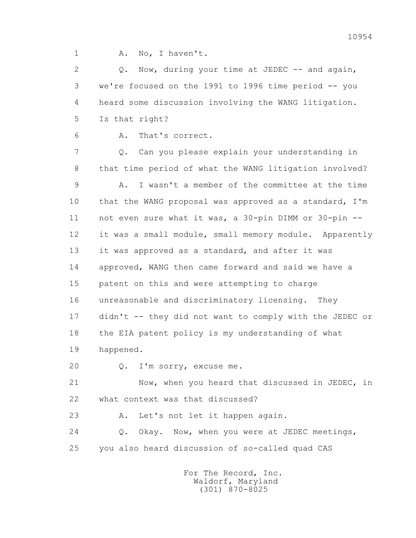1 A. No, I haven't.

2 Q. Now, during your time at JEDEC -- and again, 3 we're focused on the 1991 to 1996 time period -- you 4 heard some discussion involving the WANG litigation. 5 Is that right?

6 A. That's correct.

 7 Q. Can you please explain your understanding in 8 that time period of what the WANG litigation involved? 9 A. I wasn't a member of the committee at the time 10 that the WANG proposal was approved as a standard, I'm 11 not even sure what it was, a 30-pin DIMM or 30-pin -- 12 it was a small module, small memory module. Apparently 13 it was approved as a standard, and after it was 14 approved, WANG then came forward and said we have a 15 patent on this and were attempting to charge 16 unreasonable and discriminatory licensing. They 17 didn't -- they did not want to comply with the JEDEC or 18 the EIA patent policy is my understanding of what 19 happened.

20 Q. I'm sorry, excuse me.

 21 Now, when you heard that discussed in JEDEC, in 22 what context was that discussed?

23 A. Let's not let it happen again.

 24 Q. Okay. Now, when you were at JEDEC meetings, 25 you also heard discussion of so-called quad CAS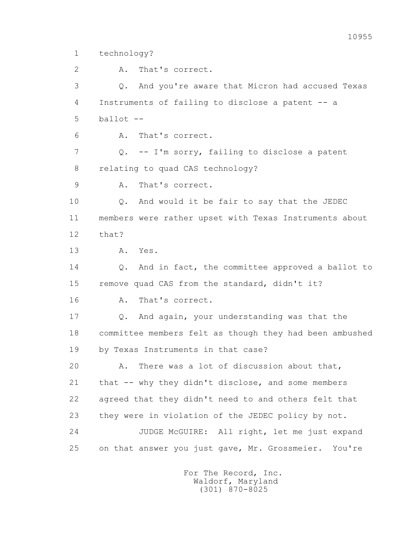1 technology?

 2 A. That's correct. 3 Q. And you're aware that Micron had accused Texas 4 Instruments of failing to disclose a patent -- a  $5$  ballot  $-$  6 A. That's correct. 7 Q. -- I'm sorry, failing to disclose a patent 8 relating to quad CAS technology? 9 A. That's correct. 10 Q. And would it be fair to say that the JEDEC 11 members were rather upset with Texas Instruments about 12 that? 13 A. Yes. 14 Q. And in fact, the committee approved a ballot to 15 remove quad CAS from the standard, didn't it? 16 A. That's correct. 17 Q. And again, your understanding was that the 18 committee members felt as though they had been ambushed 19 by Texas Instruments in that case? 20 A. There was a lot of discussion about that, 21 that -- why they didn't disclose, and some members 22 agreed that they didn't need to and others felt that 23 they were in violation of the JEDEC policy by not. 24 JUDGE McGUIRE: All right, let me just expand

> For The Record, Inc. Waldorf, Maryland (301) 870-8025

25 on that answer you just gave, Mr. Grossmeier. You're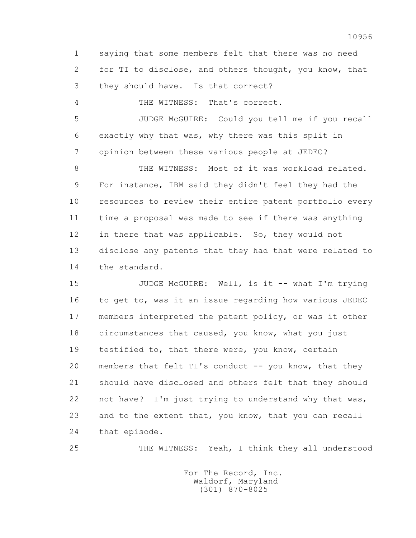1 saying that some members felt that there was no need 2 for TI to disclose, and others thought, you know, that 3 they should have. Is that correct?

4 THE WITNESS: That's correct.

 5 JUDGE McGUIRE: Could you tell me if you recall 6 exactly why that was, why there was this split in 7 opinion between these various people at JEDEC?

8 THE WITNESS: Most of it was workload related. 9 For instance, IBM said they didn't feel they had the 10 resources to review their entire patent portfolio every 11 time a proposal was made to see if there was anything 12 in there that was applicable. So, they would not 13 disclose any patents that they had that were related to 14 the standard.

15 JUDGE McGUIRE: Well, is it -- what I'm trying 16 to get to, was it an issue regarding how various JEDEC 17 members interpreted the patent policy, or was it other 18 circumstances that caused, you know, what you just 19 testified to, that there were, you know, certain 20 members that felt TI's conduct -- you know, that they 21 should have disclosed and others felt that they should 22 not have? I'm just trying to understand why that was, 23 and to the extent that, you know, that you can recall 24 that episode.

25 THE WITNESS: Yeah, I think they all understood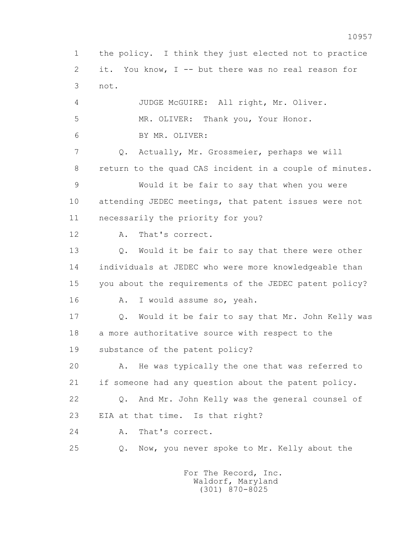1 the policy. I think they just elected not to practice 2 it. You know, I -- but there was no real reason for 3 not. 4 JUDGE McGUIRE: All right, Mr. Oliver. 5 MR. OLIVER: Thank you, Your Honor. 6 BY MR. OLIVER: 7 Q. Actually, Mr. Grossmeier, perhaps we will 8 return to the quad CAS incident in a couple of minutes. 9 Would it be fair to say that when you were 10 attending JEDEC meetings, that patent issues were not 11 necessarily the priority for you? 12 A. That's correct. 13 Q. Would it be fair to say that there were other 14 individuals at JEDEC who were more knowledgeable than 15 you about the requirements of the JEDEC patent policy? 16 A. I would assume so, yeah. 17 Q. Would it be fair to say that Mr. John Kelly was 18 a more authoritative source with respect to the 19 substance of the patent policy? 20 A. He was typically the one that was referred to 21 if someone had any question about the patent policy. 22 Q. And Mr. John Kelly was the general counsel of 23 EIA at that time. Is that right? 24 A. That's correct. 25 Q. Now, you never spoke to Mr. Kelly about the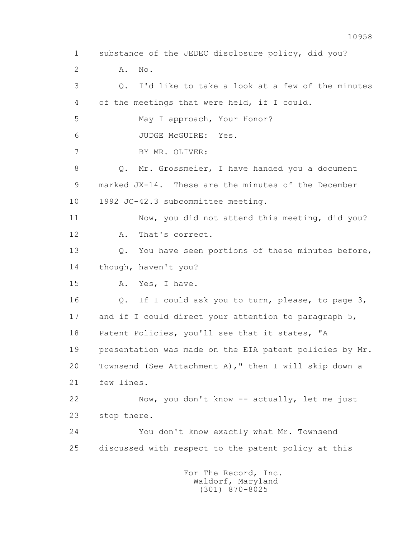1 substance of the JEDEC disclosure policy, did you? 2 A. No. 3 Q. I'd like to take a look at a few of the minutes 4 of the meetings that were held, if I could. 5 May I approach, Your Honor? 6 JUDGE McGUIRE: Yes. 7 BY MR. OLIVER: 8 Q. Mr. Grossmeier, I have handed you a document 9 marked JX-14. These are the minutes of the December 10 1992 JC-42.3 subcommittee meeting. 11 Now, you did not attend this meeting, did you? 12 A. That's correct. 13 Q. You have seen portions of these minutes before, 14 though, haven't you? 15 A. Yes, I have. 16 Q. If I could ask you to turn, please, to page 3, 17 and if I could direct your attention to paragraph 5, 18 Patent Policies, you'll see that it states, "A 19 presentation was made on the EIA patent policies by Mr. 20 Townsend (See Attachment A)," then I will skip down a 21 few lines. 22 Now, you don't know -- actually, let me just 23 stop there. 24 You don't know exactly what Mr. Townsend 25 discussed with respect to the patent policy at this For The Record, Inc. Waldorf, Maryland

10958

(301) 870-8025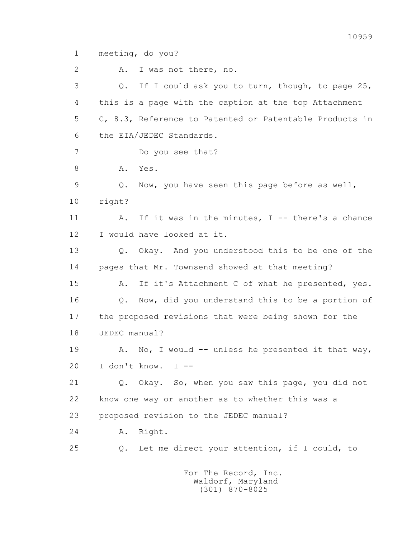1 meeting, do you?

2 A. I was not there, no. 3 Q. If I could ask you to turn, though, to page 25, 4 this is a page with the caption at the top Attachment 5 C, 8.3, Reference to Patented or Patentable Products in 6 the EIA/JEDEC Standards. 7 Do you see that? 8 A. Yes. 9 Q. Now, you have seen this page before as well, 10 right? 11 A. If it was in the minutes, I -- there's a chance 12 I would have looked at it. 13 Q. Okay. And you understood this to be one of the 14 pages that Mr. Townsend showed at that meeting? 15 A. If it's Attachment C of what he presented, yes. 16 Q. Now, did you understand this to be a portion of 17 the proposed revisions that were being shown for the 18 JEDEC manual? 19 A. No, I would -- unless he presented it that way, 20 I don't know. I -- 21 Q. Okay. So, when you saw this page, you did not 22 know one way or another as to whether this was a 23 proposed revision to the JEDEC manual? 24 A. Right. 25 Q. Let me direct your attention, if I could, to For The Record, Inc.

 Waldorf, Maryland (301) 870-8025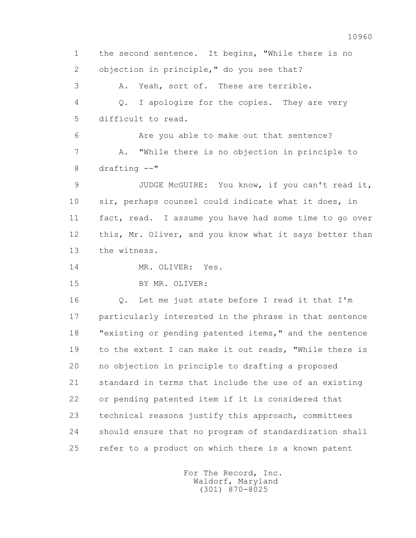1 the second sentence. It begins, "While there is no 2 objection in principle," do you see that? 3 A. Yeah, sort of. These are terrible. 4 Q. I apologize for the copies. They are very 5 difficult to read. 6 Are you able to make out that sentence? 7 A. "While there is no objection in principle to 8 drafting --" 9 JUDGE McGUIRE: You know, if you can't read it, 10 sir, perhaps counsel could indicate what it does, in 11 fact, read. I assume you have had some time to go over 12 this, Mr. Oliver, and you know what it says better than 13 the witness. 14 MR. OLIVER: Yes. 15 BY MR. OLIVER: 16 Q. Let me just state before I read it that I'm 17 particularly interested in the phrase in that sentence 18 "existing or pending patented items," and the sentence 19 to the extent I can make it out reads, "While there is 20 no objection in principle to drafting a proposed 21 standard in terms that include the use of an existing 22 or pending patented item if it is considered that 23 technical reasons justify this approach, committees

25 refer to a product on which there is a known patent

24 should ensure that no program of standardization shall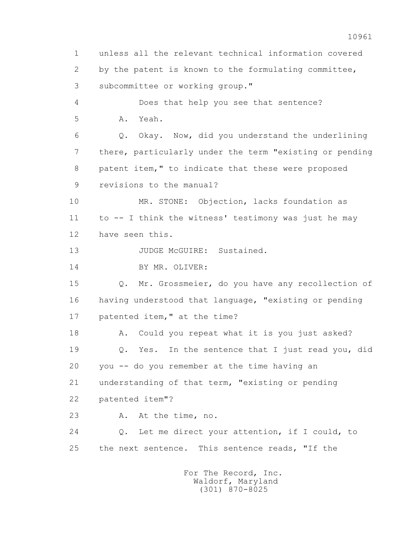1 unless all the relevant technical information covered 2 by the patent is known to the formulating committee, 3 subcommittee or working group." 4 Does that help you see that sentence? 5 A. Yeah. 6 Q. Okay. Now, did you understand the underlining 7 there, particularly under the term "existing or pending 8 patent item," to indicate that these were proposed 9 revisions to the manual? 10 MR. STONE: Objection, lacks foundation as 11 to -- I think the witness' testimony was just he may 12 have seen this. 13 JUDGE McGUIRE: Sustained. 14 BY MR. OLIVER: 15 Q. Mr. Grossmeier, do you have any recollection of 16 having understood that language, "existing or pending 17 patented item," at the time? 18 A. Could you repeat what it is you just asked? 19 Q. Yes. In the sentence that I just read you, did 20 you -- do you remember at the time having an 21 understanding of that term, "existing or pending 22 patented item"? 23 A. At the time, no. 24 Q. Let me direct your attention, if I could, to 25 the next sentence. This sentence reads, "If the For The Record, Inc.

 Waldorf, Maryland (301) 870-8025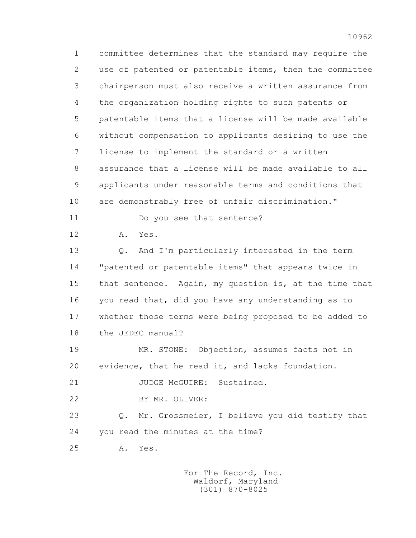1 committee determines that the standard may require the 2 use of patented or patentable items, then the committee 3 chairperson must also receive a written assurance from 4 the organization holding rights to such patents or 5 patentable items that a license will be made available 6 without compensation to applicants desiring to use the 7 license to implement the standard or a written 8 assurance that a license will be made available to all 9 applicants under reasonable terms and conditions that 10 are demonstrably free of unfair discrimination." 11 Do you see that sentence? 12 A. Yes. 13 Q. And I'm particularly interested in the term 14 "patented or patentable items" that appears twice in 15 that sentence. Again, my question is, at the time that 16 you read that, did you have any understanding as to 17 whether those terms were being proposed to be added to 18 the JEDEC manual? 19 MR. STONE: Objection, assumes facts not in 20 evidence, that he read it, and lacks foundation. 21 JUDGE McGUIRE: Sustained. 22 BY MR. OLIVER: 23 Q. Mr. Grossmeier, I believe you did testify that 24 you read the minutes at the time? 25 A. Yes.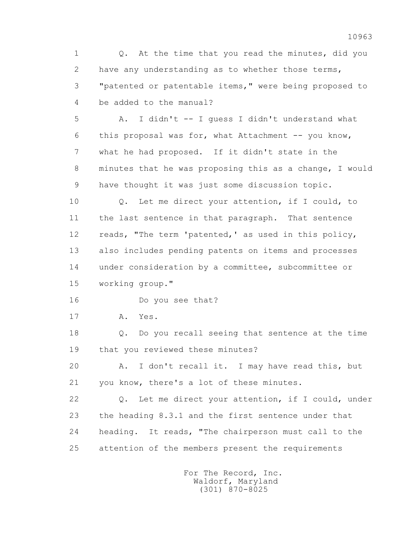1 Q. At the time that you read the minutes, did you 2 have any understanding as to whether those terms, 3 "patented or patentable items," were being proposed to 4 be added to the manual?

 5 A. I didn't -- I guess I didn't understand what 6 this proposal was for, what Attachment -- you know, 7 what he had proposed. If it didn't state in the 8 minutes that he was proposing this as a change, I would 9 have thought it was just some discussion topic.

 10 Q. Let me direct your attention, if I could, to 11 the last sentence in that paragraph. That sentence 12 reads, "The term 'patented,' as used in this policy, 13 also includes pending patents on items and processes 14 under consideration by a committee, subcommittee or 15 working group."

16 Do you see that?

17 A. Yes.

 18 Q. Do you recall seeing that sentence at the time 19 that you reviewed these minutes?

 20 A. I don't recall it. I may have read this, but 21 you know, there's a lot of these minutes.

 22 Q. Let me direct your attention, if I could, under 23 the heading 8.3.1 and the first sentence under that 24 heading. It reads, "The chairperson must call to the 25 attention of the members present the requirements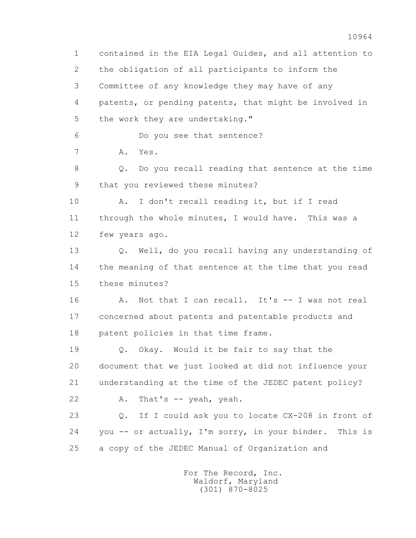1 contained in the EIA Legal Guides, and all attention to 2 the obligation of all participants to inform the 3 Committee of any knowledge they may have of any 4 patents, or pending patents, that might be involved in 5 the work they are undertaking." 6 Do you see that sentence? 7 A. Yes. 8 Q. Do you recall reading that sentence at the time 9 that you reviewed these minutes? 10 A. I don't recall reading it, but if I read 11 through the whole minutes, I would have. This was a 12 few years ago. 13 Q. Well, do you recall having any understanding of 14 the meaning of that sentence at the time that you read 15 these minutes? 16 A. Not that I can recall. It's -- I was not real 17 concerned about patents and patentable products and 18 patent policies in that time frame. 19 Q. Okay. Would it be fair to say that the 20 document that we just looked at did not influence your 21 understanding at the time of the JEDEC patent policy? 22 A. That's -- yeah, yeah. 23 Q. If I could ask you to locate CX-208 in front of 24 you -- or actually, I'm sorry, in your binder. This is 25 a copy of the JEDEC Manual of Organization and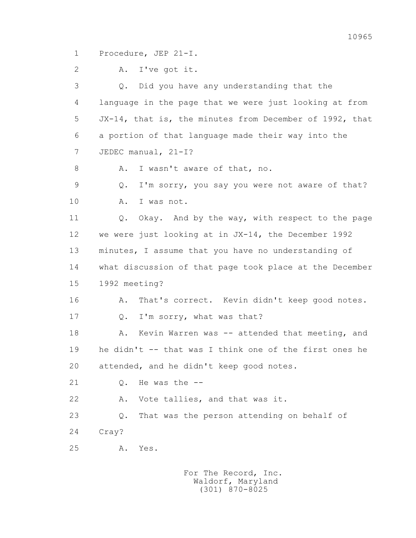1 Procedure, JEP 21-I.

 2 A. I've got it. 3 Q. Did you have any understanding that the 4 language in the page that we were just looking at from 5 JX-14, that is, the minutes from December of 1992, that 6 a portion of that language made their way into the 7 JEDEC manual, 21-I? 8 A. I wasn't aware of that, no. 9 Q. I'm sorry, you say you were not aware of that? 10 A. I was not. 11 Q. Okay. And by the way, with respect to the page 12 we were just looking at in JX-14, the December 1992 13 minutes, I assume that you have no understanding of 14 what discussion of that page took place at the December 15 1992 meeting? 16 A. That's correct. Kevin didn't keep good notes. 17 Q. I'm sorry, what was that? 18 A. Kevin Warren was -- attended that meeting, and 19 he didn't -- that was I think one of the first ones he 20 attended, and he didn't keep good notes. 21 Q. He was the -- 22 A. Vote tallies, and that was it. 23 Q. That was the person attending on behalf of 24 Cray? 25 A. Yes.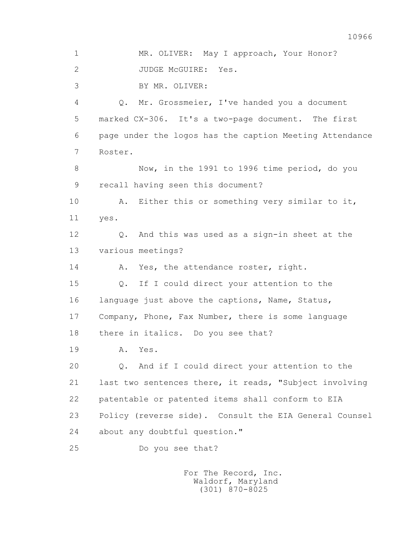1 MR. OLIVER: May I approach, Your Honor? 2 JUDGE McGUIRE: Yes. 3 BY MR. OLIVER: 4 Q. Mr. Grossmeier, I've handed you a document 5 marked CX-306. It's a two-page document. The first 6 page under the logos has the caption Meeting Attendance 7 Roster. 8 Now, in the 1991 to 1996 time period, do you 9 recall having seen this document? 10 A. Either this or something very similar to it, 11 yes. 12 Q. And this was used as a sign-in sheet at the 13 various meetings? 14 A. Yes, the attendance roster, right. 15 Q. If I could direct your attention to the 16 language just above the captions, Name, Status, 17 Company, Phone, Fax Number, there is some language 18 there in italics. Do you see that? 19 A. Yes. 20 Q. And if I could direct your attention to the 21 last two sentences there, it reads, "Subject involving 22 patentable or patented items shall conform to EIA 23 Policy (reverse side). Consult the EIA General Counsel 24 about any doubtful question." 25 Do you see that?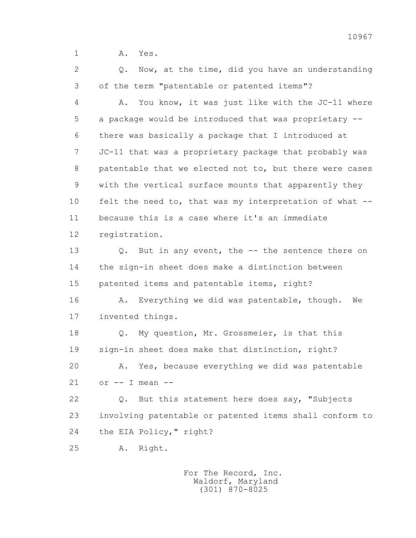1 **A.** Yes.

2 0. Now, at the time, did you have an understanding 3 of the term "patentable or patented items"?

 4 A. You know, it was just like with the JC-11 where 5 a package would be introduced that was proprietary -- 6 there was basically a package that I introduced at 7 JC-11 that was a proprietary package that probably was 8 patentable that we elected not to, but there were cases 9 with the vertical surface mounts that apparently they 10 felt the need to, that was my interpretation of what -- 11 because this is a case where it's an immediate 12 registration.

 13 Q. But in any event, the -- the sentence there on 14 the sign-in sheet does make a distinction between 15 patented items and patentable items, right?

16 A. Everything we did was patentable, though. We 17 invented things.

 18 Q. My question, Mr. Grossmeier, is that this 19 sign-in sheet does make that distinction, right? 20 A. Yes, because everything we did was patentable  $21$  or  $-$  I mean  $-$ 

 22 Q. But this statement here does say, "Subjects 23 involving patentable or patented items shall conform to 24 the EIA Policy," right?

25 A. Right.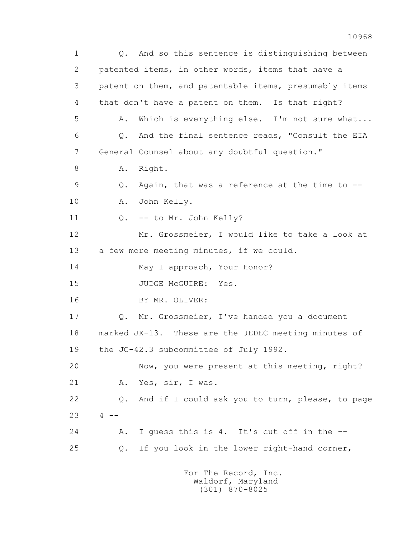1 Q. And so this sentence is distinguishing between 2 patented items, in other words, items that have a 3 patent on them, and patentable items, presumably items 4 that don't have a patent on them. Is that right? 5 A. Which is everything else. I'm not sure what... 6 Q. And the final sentence reads, "Consult the EIA 7 General Counsel about any doubtful question." 8 A. Right. 9 Q. Again, that was a reference at the time to -- 10 A. John Kelly. 11 Q. -- to Mr. John Kelly? 12 Mr. Grossmeier, I would like to take a look at 13 a few more meeting minutes, if we could. 14 May I approach, Your Honor? 15 JUDGE McGUIRE: Yes. 16 BY MR. OLIVER: 17 Q. Mr. Grossmeier, I've handed you a document 18 marked JX-13. These are the JEDEC meeting minutes of 19 the JC-42.3 subcommittee of July 1992. 20 Now, you were present at this meeting, right? 21 A. Yes, sir, I was. 22 Q. And if I could ask you to turn, please, to page  $23 \t 4 - -$  24 A. I guess this is 4. It's cut off in the -- 25 Q. If you look in the lower right-hand corner,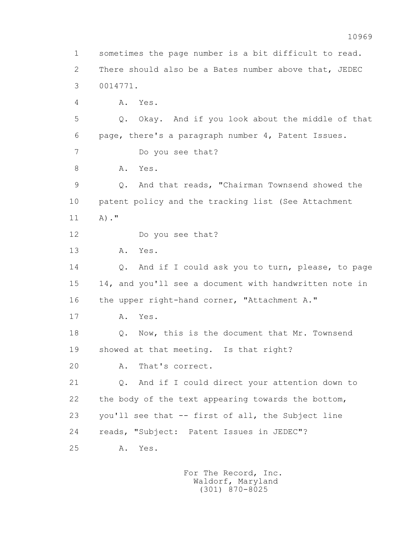1 sometimes the page number is a bit difficult to read. 2 There should also be a Bates number above that, JEDEC 3 0014771. 4 A. Yes. 5 Q. Okay. And if you look about the middle of that 6 page, there's a paragraph number 4, Patent Issues. 7 Do you see that? 8 A. Yes. 9 Q. And that reads, "Chairman Townsend showed the 10 patent policy and the tracking list (See Attachment 11 A)." 12 Do you see that? 13 A. Yes. 14 Q. And if I could ask you to turn, please, to page 15 14, and you'll see a document with handwritten note in 16 the upper right-hand corner, "Attachment A." 17 A. Yes. 18 Q. Now, this is the document that Mr. Townsend 19 showed at that meeting. Is that right? 20 A. That's correct. 21 Q. And if I could direct your attention down to 22 the body of the text appearing towards the bottom, 23 you'll see that -- first of all, the Subject line 24 reads, "Subject: Patent Issues in JEDEC"? 25 A. Yes.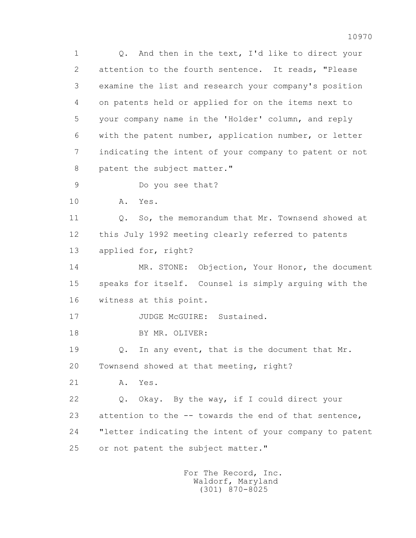1 Q. And then in the text, I'd like to direct your 2 attention to the fourth sentence. It reads, "Please 3 examine the list and research your company's position 4 on patents held or applied for on the items next to 5 your company name in the 'Holder' column, and reply 6 with the patent number, application number, or letter 7 indicating the intent of your company to patent or not 8 patent the subject matter." 9 Do you see that?

10 A. Yes.

11 0. So, the memorandum that Mr. Townsend showed at 12 this July 1992 meeting clearly referred to patents 13 applied for, right?

 14 MR. STONE: Objection, Your Honor, the document 15 speaks for itself. Counsel is simply arguing with the 16 witness at this point.

17 JUDGE McGUIRE: Sustained.

18 BY MR. OLIVER:

 19 Q. In any event, that is the document that Mr. 20 Townsend showed at that meeting, right?

21 A. Yes.

 22 Q. Okay. By the way, if I could direct your 23 attention to the -- towards the end of that sentence, 24 "letter indicating the intent of your company to patent 25 or not patent the subject matter."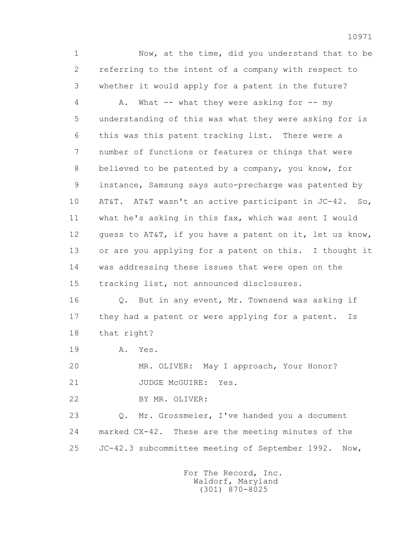1 Now, at the time, did you understand that to be 2 referring to the intent of a company with respect to 3 whether it would apply for a patent in the future?

4 A. What -- what they were asking for -- my 5 understanding of this was what they were asking for is 6 this was this patent tracking list. There were a 7 number of functions or features or things that were 8 believed to be patented by a company, you know, for 9 instance, Samsung says auto-precharge was patented by 10 AT&T. AT&T wasn't an active participant in JC-42. So, 11 what he's asking in this fax, which was sent I would 12 guess to AT&T, if you have a patent on it, let us know, 13 or are you applying for a patent on this. I thought it 14 was addressing these issues that were open on the 15 tracking list, not announced disclosures.

 16 Q. But in any event, Mr. Townsend was asking if 17 they had a patent or were applying for a patent. Is 18 that right?

19 A. Yes.

 20 MR. OLIVER: May I approach, Your Honor? 21 JUDGE McGUIRE: Yes.

- 
- 22 BY MR. OLIVER:

 23 Q. Mr. Grossmeier, I've handed you a document 24 marked CX-42. These are the meeting minutes of the 25 JC-42.3 subcommittee meeting of September 1992. Now,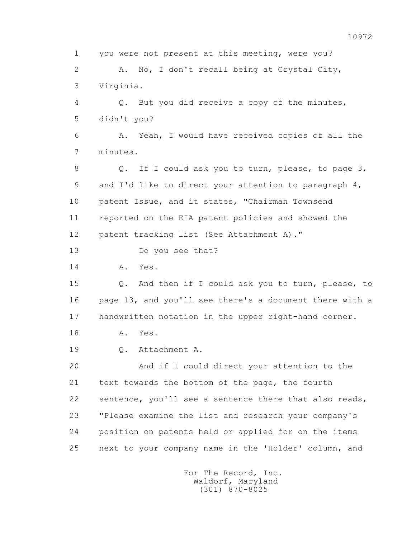1 you were not present at this meeting, were you? 2 A. No, I don't recall being at Crystal City, 3 Virginia. 4 Q. But you did receive a copy of the minutes, 5 didn't you? 6 A. Yeah, I would have received copies of all the 7 minutes. 8 Q. If I could ask you to turn, please, to page 3, 9 and I'd like to direct your attention to paragraph 4, 10 patent Issue, and it states, "Chairman Townsend 11 reported on the EIA patent policies and showed the 12 patent tracking list (See Attachment A)." 13 Do you see that? 14 A. Yes. 15 Q. And then if I could ask you to turn, please, to 16 page 13, and you'll see there's a document there with a 17 handwritten notation in the upper right-hand corner. 18 A. Yes. 19 Q. Attachment A. 20 And if I could direct your attention to the 21 text towards the bottom of the page, the fourth 22 sentence, you'll see a sentence there that also reads, 23 "Please examine the list and research your company's 24 position on patents held or applied for on the items 25 next to your company name in the 'Holder' column, and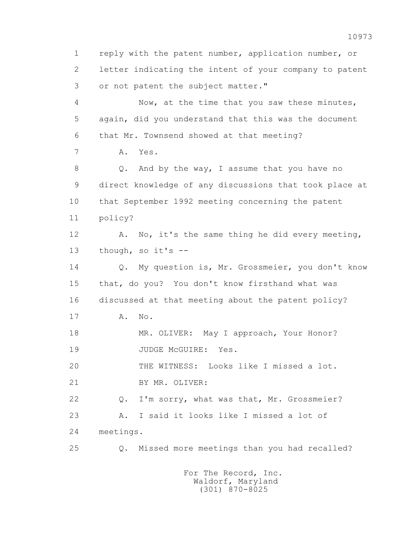1 reply with the patent number, application number, or 2 letter indicating the intent of your company to patent 3 or not patent the subject matter." 4 Now, at the time that you saw these minutes, 5 again, did you understand that this was the document 6 that Mr. Townsend showed at that meeting? 7 A. Yes. 8 Q. And by the way, I assume that you have no 9 direct knowledge of any discussions that took place at 10 that September 1992 meeting concerning the patent 11 policy? 12 A. No, it's the same thing he did every meeting, 13 though, so it's -- 14 Q. My question is, Mr. Grossmeier, you don't know 15 that, do you? You don't know firsthand what was 16 discussed at that meeting about the patent policy? 17 A. No. 18 MR. OLIVER: May I approach, Your Honor? 19 JUDGE McGUIRE: Yes. 20 THE WITNESS: Looks like I missed a lot. 21 BY MR. OLIVER: 22 Q. I'm sorry, what was that, Mr. Grossmeier? 23 A. I said it looks like I missed a lot of 24 meetings. 25 Q. Missed more meetings than you had recalled?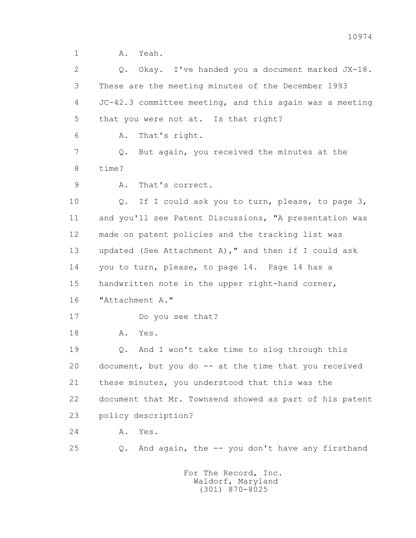1 A. Yeah.

 2 Q. Okay. I've handed you a document marked JX-18. 3 These are the meeting minutes of the December 1993 4 JC-42.3 committee meeting, and this again was a meeting 5 that you were not at. Is that right? 6 A. That's right. 7 Q. But again, you received the minutes at the 8 time? 9 A. That's correct. 10 Q. If I could ask you to turn, please, to page 3, 11 and you'll see Patent Discussions, "A presentation was 12 made on patent policies and the tracking list was 13 updated (See Attachment A)," and then if I could ask 14 you to turn, please, to page 14. Page 14 has a 15 handwritten note in the upper right-hand corner, 16 "Attachment A." 17 Do you see that? 18 A. Yes. 19 Q. And I won't take time to slog through this 20 document, but you do -- at the time that you received 21 these minutes, you understood that this was the 22 document that Mr. Townsend showed as part of his patent 23 policy description? 24 A. Yes. 25 Q. And again, the -- you don't have any firsthand For The Record, Inc. Waldorf, Maryland

(301) 870-8025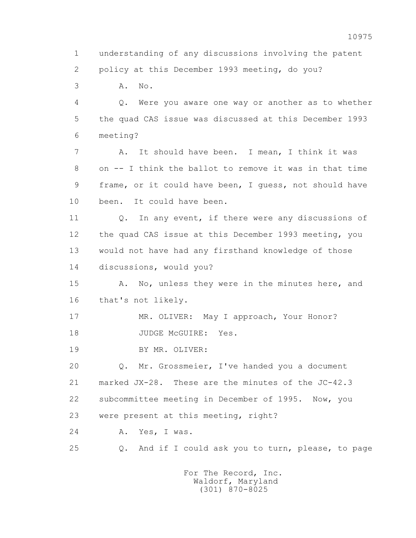1 understanding of any discussions involving the patent 2 policy at this December 1993 meeting, do you? 3 A. No. 4 Q. Were you aware one way or another as to whether 5 the quad CAS issue was discussed at this December 1993 6 meeting? 7 A. It should have been. I mean, I think it was 8 on -- I think the ballot to remove it was in that time 9 frame, or it could have been, I guess, not should have 10 been. It could have been. 11 Q. In any event, if there were any discussions of 12 the quad CAS issue at this December 1993 meeting, you 13 would not have had any firsthand knowledge of those 14 discussions, would you? 15 A. No, unless they were in the minutes here, and 16 that's not likely. 17 MR. OLIVER: May I approach, Your Honor? 18 JUDGE McGUIRE: Yes. 19 BY MR. OLIVER: 20 Q. Mr. Grossmeier, I've handed you a document 21 marked JX-28. These are the minutes of the JC-42.3 22 subcommittee meeting in December of 1995. Now, you 23 were present at this meeting, right? 24 A. Yes, I was. 25 Q. And if I could ask you to turn, please, to page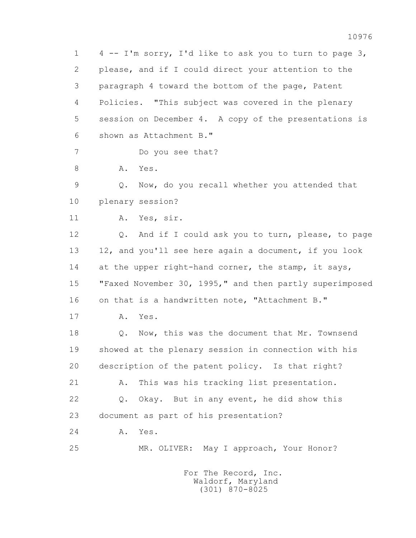1 4 -- I'm sorry, I'd like to ask you to turn to page 3, 2 please, and if I could direct your attention to the 3 paragraph 4 toward the bottom of the page, Patent 4 Policies. "This subject was covered in the plenary 5 session on December 4. A copy of the presentations is 6 shown as Attachment B." 7 Do you see that? 8 A. Yes. 9 Q. Now, do you recall whether you attended that 10 plenary session? 11 A. Yes, sir. 12 Q. And if I could ask you to turn, please, to page 13 12, and you'll see here again a document, if you look 14 at the upper right-hand corner, the stamp, it says, 15 "Faxed November 30, 1995," and then partly superimposed 16 on that is a handwritten note, "Attachment B." 17 A. Yes. 18 Q. Now, this was the document that Mr. Townsend 19 showed at the plenary session in connection with his 20 description of the patent policy. Is that right? 21 A. This was his tracking list presentation. 22 Q. Okay. But in any event, he did show this 23 document as part of his presentation? 24 A. Yes. 25 MR. OLIVER: May I approach, Your Honor? For The Record, Inc.

 Waldorf, Maryland (301) 870-8025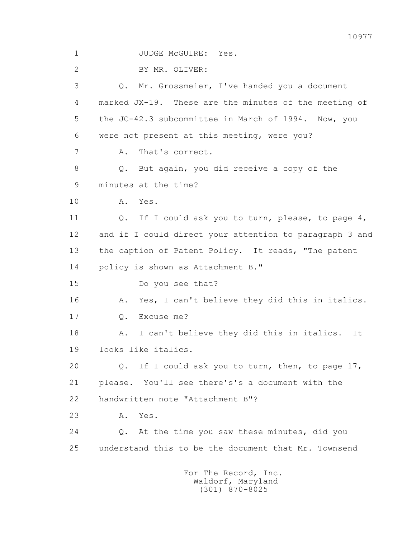1 JUDGE McGUIRE: Yes. 2 BY MR. OLIVER: 3 Q. Mr. Grossmeier, I've handed you a document 4 marked JX-19. These are the minutes of the meeting of 5 the JC-42.3 subcommittee in March of 1994. Now, you 6 were not present at this meeting, were you? 7 A. That's correct. 8 Q. But again, you did receive a copy of the 9 minutes at the time? 10 A. Yes. 11 0. If I could ask you to turn, please, to page 4, 12 and if I could direct your attention to paragraph 3 and 13 the caption of Patent Policy. It reads, "The patent 14 policy is shown as Attachment B." 15 Do you see that? 16 A. Yes, I can't believe they did this in italics. 17 Q. Excuse me? 18 A. I can't believe they did this in italics. It 19 looks like italics. 20 Q. If I could ask you to turn, then, to page 17, 21 please. You'll see there's's a document with the 22 handwritten note "Attachment B"? 23 A. Yes. 24 Q. At the time you saw these minutes, did you 25 understand this to be the document that Mr. Townsend For The Record, Inc.

 Waldorf, Maryland (301) 870-8025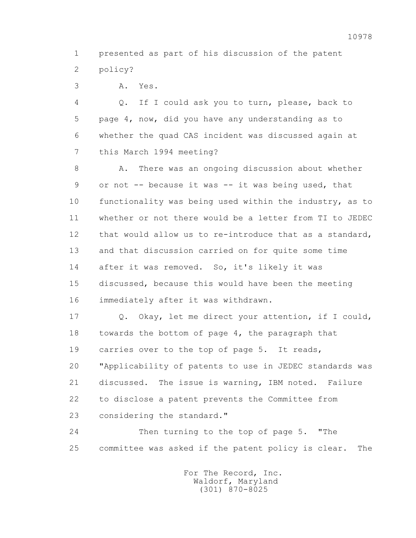1 presented as part of his discussion of the patent 2 policy?

3 A. Yes.

 4 Q. If I could ask you to turn, please, back to 5 page 4, now, did you have any understanding as to 6 whether the quad CAS incident was discussed again at 7 this March 1994 meeting?

8 A. There was an ongoing discussion about whether 9 or not -- because it was -- it was being used, that 10 functionality was being used within the industry, as to 11 whether or not there would be a letter from TI to JEDEC 12 that would allow us to re-introduce that as a standard, 13 and that discussion carried on for quite some time 14 after it was removed. So, it's likely it was 15 discussed, because this would have been the meeting 16 immediately after it was withdrawn.

 17 Q. Okay, let me direct your attention, if I could, 18 towards the bottom of page 4, the paragraph that 19 carries over to the top of page 5. It reads, 20 "Applicability of patents to use in JEDEC standards was 21 discussed. The issue is warning, IBM noted. Failure 22 to disclose a patent prevents the Committee from 23 considering the standard."

 24 Then turning to the top of page 5. "The 25 committee was asked if the patent policy is clear. The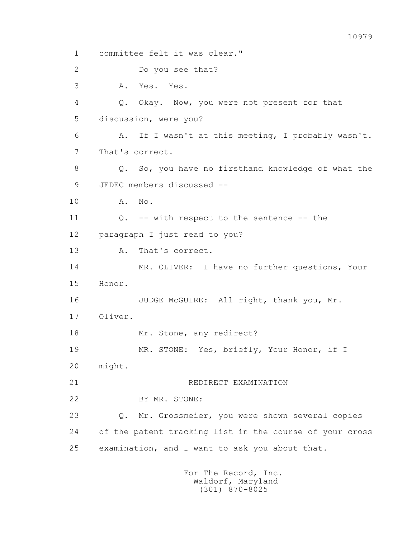1 committee felt it was clear." 2 Do you see that? 3 A. Yes. Yes. 4 Q. Okay. Now, you were not present for that 5 discussion, were you? 6 A. If I wasn't at this meeting, I probably wasn't. 7 That's correct. 8 Q. So, you have no firsthand knowledge of what the 9 JEDEC members discussed -- 10 A. No. 11 0. -- with respect to the sentence -- the 12 paragraph I just read to you? 13 A. That's correct. 14 MR. OLIVER: I have no further questions, Your 15 Honor. 16 JUDGE McGUIRE: All right, thank you, Mr. 17 Oliver. 18 Mr. Stone, any redirect? 19 MR. STONE: Yes, briefly, Your Honor, if I 20 might. 21 REDIRECT EXAMINATION 22 BY MR. STONE: 23 Q. Mr. Grossmeier, you were shown several copies 24 of the patent tracking list in the course of your cross 25 examination, and I want to ask you about that. For The Record, Inc.

 Waldorf, Maryland (301) 870-8025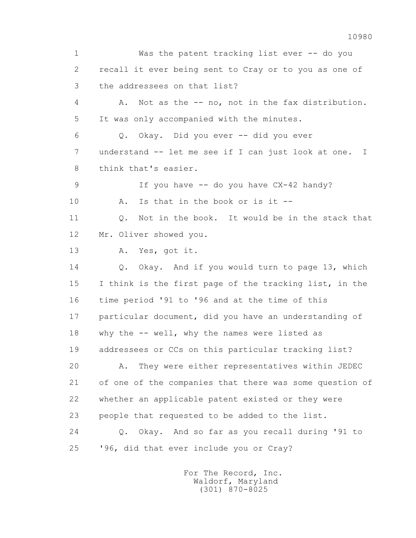1 Was the patent tracking list ever -- do you 2 recall it ever being sent to Cray or to you as one of 3 the addressees on that list? 4 A. Not as the -- no, not in the fax distribution. 5 It was only accompanied with the minutes. 6 Q. Okay. Did you ever -- did you ever 7 understand -- let me see if I can just look at one. I 8 think that's easier. 9 If you have -- do you have CX-42 handy? 10 A. Is that in the book or is it -- 11 Q. Not in the book. It would be in the stack that 12 Mr. Oliver showed you. 13 A. Yes, got it. 14 Q. Okay. And if you would turn to page 13, which 15 I think is the first page of the tracking list, in the 16 time period '91 to '96 and at the time of this 17 particular document, did you have an understanding of 18 why the -- well, why the names were listed as 19 addressees or CCs on this particular tracking list? 20 A. They were either representatives within JEDEC 21 of one of the companies that there was some question of 22 whether an applicable patent existed or they were 23 people that requested to be added to the list. 24 Q. Okay. And so far as you recall during '91 to 25 '96, did that ever include you or Cray?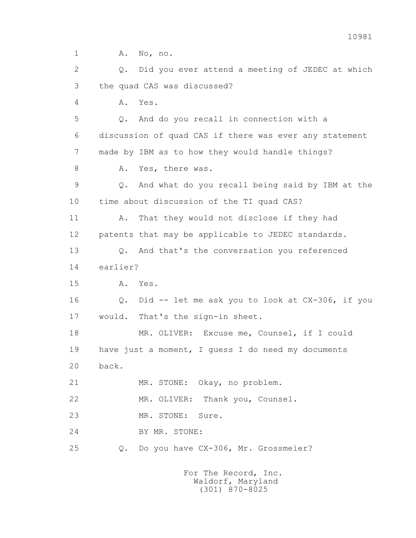1 A. No, no. 2 Q. Did you ever attend a meeting of JEDEC at which 3 the quad CAS was discussed? 4 A. Yes. 5 Q. And do you recall in connection with a 6 discussion of quad CAS if there was ever any statement 7 made by IBM as to how they would handle things? 8 A. Yes, there was. 9 Q. And what do you recall being said by IBM at the 10 time about discussion of the TI quad CAS? 11 A. That they would not disclose if they had 12 patents that may be applicable to JEDEC standards. 13 Q. And that's the conversation you referenced 14 earlier? 15 A. Yes. 16 Q. Did -- let me ask you to look at CX-306, if you 17 would. That's the sign-in sheet. 18 MR. OLIVER: Excuse me, Counsel, if I could 19 have just a moment, I guess I do need my documents 20 back. 21 MR. STONE: Okay, no problem. 22 MR. OLIVER: Thank you, Counsel. 23 MR. STONE: Sure. 24 BY MR. STONE: 25 Q. Do you have CX-306, Mr. Grossmeier?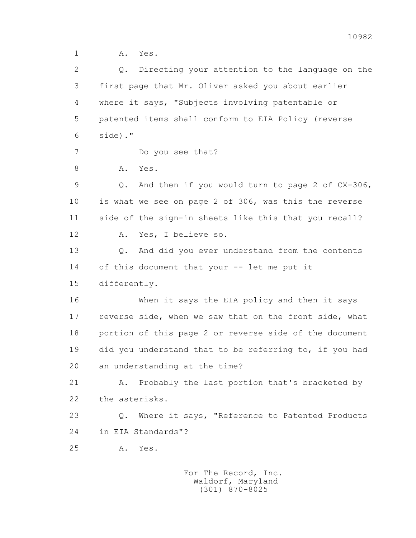1 A. Yes.

| 2  | Directing your attention to the language on the<br>Q.  |
|----|--------------------------------------------------------|
| 3  | first page that Mr. Oliver asked you about earlier     |
| 4  | where it says, "Subjects involving patentable or       |
| 5  | patented items shall conform to EIA Policy (reverse    |
| 6  | side)."                                                |
| 7  | Do you see that?                                       |
| 8  | Α.<br>Yes.                                             |
| 9  | And then if you would turn to page 2 of CX-306,<br>Q.  |
| 10 | is what we see on page 2 of 306, was this the reverse  |
| 11 | side of the sign-in sheets like this that you recall?  |
| 12 | Yes, I believe so.<br>Α.                               |
| 13 | And did you ever understand from the contents<br>Q.    |
| 14 | of this document that your -- let me put it            |
| 15 | differently.                                           |
| 16 | When it says the EIA policy and then it says           |
| 17 | reverse side, when we saw that on the front side, what |
| 18 | portion of this page 2 or reverse side of the document |
| 19 | did you understand that to be referring to, if you had |
| 20 | an understanding at the time?                          |
| 21 | Probably the last portion that's bracketed by<br>Α.    |
| 22 | the asterisks.                                         |
| 23 | Where it says, "Reference to Patented Products<br>Q.   |
| 24 | in EIA Standards"?                                     |
| 25 | Α.<br>Yes.                                             |
|    | For The Record, Inc.                                   |

Waldorf, Maryland (301) 870-8025

10982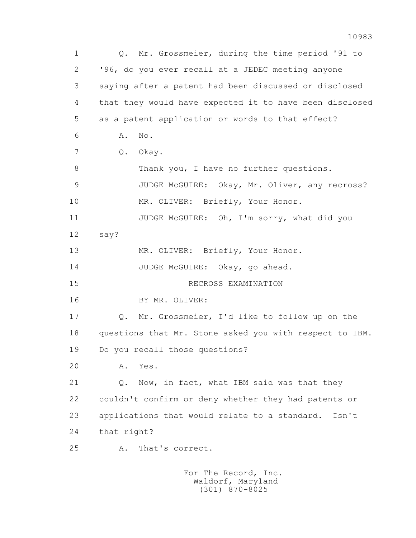1 Q. Mr. Grossmeier, during the time period '91 to 2 '96, do you ever recall at a JEDEC meeting anyone 3 saying after a patent had been discussed or disclosed 4 that they would have expected it to have been disclosed 5 as a patent application or words to that effect? 6 A. No. 7 Q. Okay. 8 Thank you, I have no further questions. 9 JUDGE McGUIRE: Okay, Mr. Oliver, any recross? 10 MR. OLIVER: Briefly, Your Honor. 11 JUDGE McGUIRE: Oh, I'm sorry, what did you 12 say? 13 MR. OLIVER: Briefly, Your Honor. 14 JUDGE McGUIRE: Okay, go ahead. 15 RECROSS EXAMINATION 16 BY MR. OLIVER: 17 Q. Mr. Grossmeier, I'd like to follow up on the 18 questions that Mr. Stone asked you with respect to IBM. 19 Do you recall those questions? 20 A. Yes. 21 Q. Now, in fact, what IBM said was that they 22 couldn't confirm or deny whether they had patents or 23 applications that would relate to a standard. Isn't 24 that right? 25 A. That's correct.

 For The Record, Inc. Waldorf, Maryland (301) 870-8025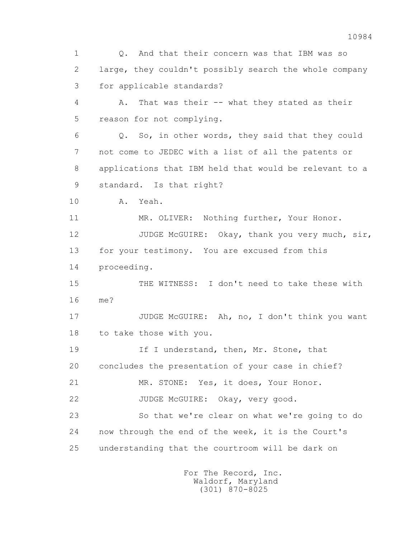1 Q. And that their concern was that IBM was so 2 large, they couldn't possibly search the whole company 3 for applicable standards? 4 A. That was their -- what they stated as their 5 reason for not complying. 6 Q. So, in other words, they said that they could 7 not come to JEDEC with a list of all the patents or 8 applications that IBM held that would be relevant to a 9 standard. Is that right? 10 A. Yeah. 11 MR. OLIVER: Nothing further, Your Honor. 12 JUDGE McGUIRE: Okay, thank you very much, sir, 13 for your testimony. You are excused from this 14 proceeding. 15 THE WITNESS: I don't need to take these with 16 me? 17 JUDGE McGUIRE: Ah, no, I don't think you want 18 to take those with you. 19 19 If I understand, then, Mr. Stone, that 20 concludes the presentation of your case in chief? 21 MR. STONE: Yes, it does, Your Honor. 22 JUDGE McGUIRE: Okay, very good. 23 So that we're clear on what we're going to do 24 now through the end of the week, it is the Court's 25 understanding that the courtroom will be dark on

> For The Record, Inc. Waldorf, Maryland (301) 870-8025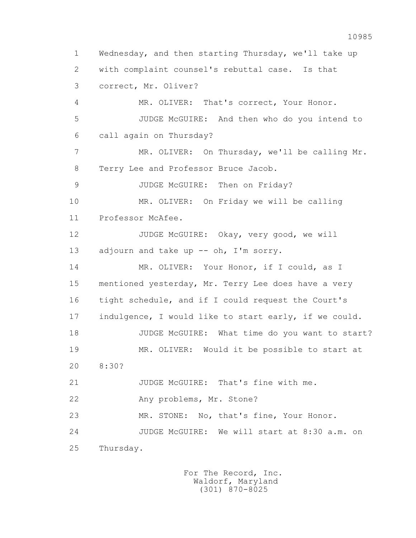1 Wednesday, and then starting Thursday, we'll take up 2 with complaint counsel's rebuttal case. Is that 3 correct, Mr. Oliver? 4 MR. OLIVER: That's correct, Your Honor. 5 JUDGE McGUIRE: And then who do you intend to 6 call again on Thursday? 7 MR. OLIVER: On Thursday, we'll be calling Mr. 8 Terry Lee and Professor Bruce Jacob. 9 JUDGE McGUIRE: Then on Friday? 10 MR. OLIVER: On Friday we will be calling 11 Professor McAfee. 12 JUDGE McGUIRE: Okay, very good, we will 13 adjourn and take up -- oh, I'm sorry. 14 MR. OLIVER: Your Honor, if I could, as I 15 mentioned yesterday, Mr. Terry Lee does have a very 16 tight schedule, and if I could request the Court's 17 indulgence, I would like to start early, if we could. 18 JUDGE McGUIRE: What time do you want to start? 19 MR. OLIVER: Would it be possible to start at 20 8:30? 21 JUDGE McGUIRE: That's fine with me. 22 Any problems, Mr. Stone? 23 MR. STONE: No, that's fine, Your Honor. 24 JUDGE McGUIRE: We will start at 8:30 a.m. on 25 Thursday.

> For The Record, Inc. Waldorf, Maryland (301) 870-8025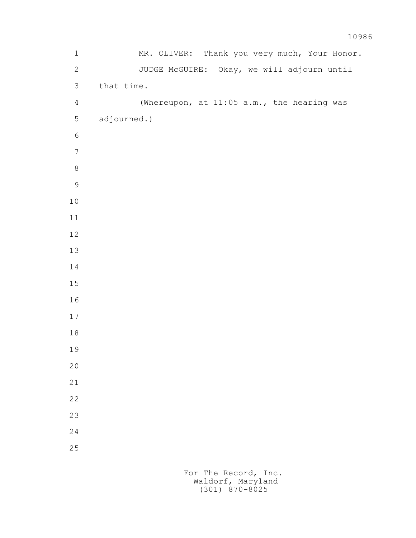| $\mathbf 1$    | MR. OLIVER: Thank you very much, Your Honor. |
|----------------|----------------------------------------------|
| $\overline{2}$ | JUDGE McGUIRE: Okay, we will adjourn until   |
| $\mathfrak{Z}$ | that time.                                   |
| $\overline{4}$ | (Whereupon, at 11:05 a.m., the hearing was   |
| $\mathsf S$    | adjourned.)                                  |
| $\epsilon$     |                                              |
| $\sqrt{ }$     |                                              |
| $\,8\,$        |                                              |
| $\overline{9}$ |                                              |
| $10$           |                                              |
| $11$           |                                              |
| $12\,$         |                                              |
| 13             |                                              |
| 14             |                                              |
| $15\,$         |                                              |
| 16             |                                              |
| $17\,$         |                                              |
| $1\,8$         |                                              |
| 19             |                                              |
| $20$           |                                              |
| 21             |                                              |
| 22             |                                              |
| 23             |                                              |
| 24             |                                              |
| 25             |                                              |
|                |                                              |

 For The Record, Inc. Waldorf, Maryland (301) 870-8025